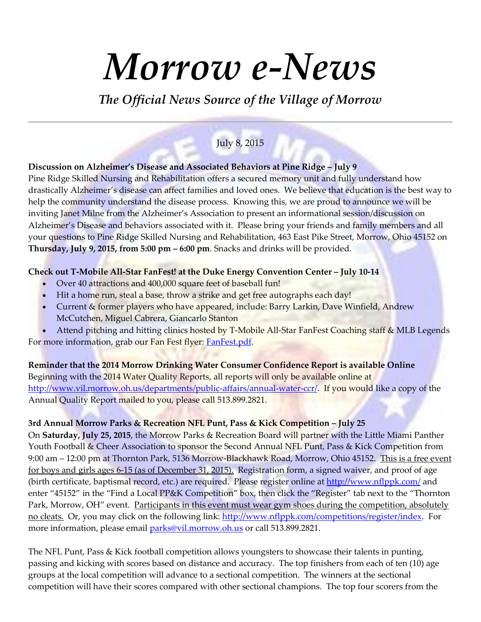# *Morrow e-News*

*The Official News Source of the Village of Morrow*

# July 8, 2015

**Discussion on Alzheimer's Disease and Associated Behaviors at Pine Ridge – July 9**

Pine Ridge Skilled Nursing and Rehabilitation offers a secured memory unit and fully understand how drastically Alzheimer's disease can affect families and loved ones. We believe that education is the best way to help the community understand the disease process. Knowing this, we are proud to announce we will be inviting Janet Milne from the Alzheimer's Association to present an informational session/discussion on Alzheimer's Disease and behaviors associated with it. Please bring your friends and family members and all your questions to Pine Ridge Skilled Nursing and Rehabilitation, 463 East Pike Street, Morrow, Ohio 45152 on **Thursday, July 9, 2015, from 5:00 pm – 6:00 pm**. Snacks and drinks will be provided.

## **Check out T-Mobile All-Star FanFest! at the Duke Energy Convention Center – July 10-14**

- Over 40 attractions and 400,000 square feet of baseball fun!
- Hit a home run, steal a base, throw a strike and get free autographs each day!
- Current & former players who have appeared, include: Barry Larkin, Dave Winfield, Andrew McCutchen, Miguel Cabrera, Giancarlo Stanton
- Attend pitching and hitting clinics hosted by T-Mobile All-Star FanFest Coaching staff & MLB Legends For more information, grab our Fan Fest flyer: [FanFest.pdf.](https://s3.amazonaws.com/files.leagueathletics.com/Text/Documents/16897/64526.pdf)

**Reminder that the 2014 Morrow Drinking Water Consumer Confidence Report is available Online** Beginning with the 2014 Water Quality Reports, all reports will only be available online at [http://www.vil.morrow.oh.us/departments/public-affairs/annual-water-ccr/.](http://www.vil.morrow.oh.us/departments/public-affairs/annual-water-ccr/) If you would like a copy of the Annual Quality Report mailed to you, please call 513.899.2821.

## **3rd Annual Morrow Parks & Recreation NFL Punt, Pass & Kick Competition – July 25**

On **Saturday, July 25, 2015**, the Morrow Parks & Recreation Board will partner with the Little Miami Panther Youth Football & Cheer Association to sponsor the Second Annual NFL Punt, Pass & Kick Competition from 9:00 am – 12:00 pm at Thornton Park, 5136 Morrow-Blackhawk Road, Morrow, Ohio 45152. This is a free event for boys and girls ages 6-15 (as of December 31, 2015). Registration form, a signed waiver, and proof of age (birth certificate, baptismal record, etc.) are required. Please register online a[t http://www.nflppk.com/](http://www.nflppk.com/) and enter "45152" in the "Find a Local PP&K Competition" box, then click the "Register" tab next to the "Thornton Park, Morrow, OH" event. Participants in this event must wear gym shoes during the competition, absolutely no cleats. Or, you may click on the following link: [http://www.nflppk.com/competitions/register/index.](http://www.nflppk.com/competitions/register/index) For more information, please email **parks@vil.morrow.oh.us** or call 513.899.2821.

The NFL Punt, Pass & Kick football competition allows youngsters to showcase their talents in punting, passing and kicking with scores based on distance and accuracy. The top finishers from each of ten (10) age groups at the local competition will advance to a sectional competition. The winners at the sectional competition will have their scores compared with other sectional champions. The top four scorers from the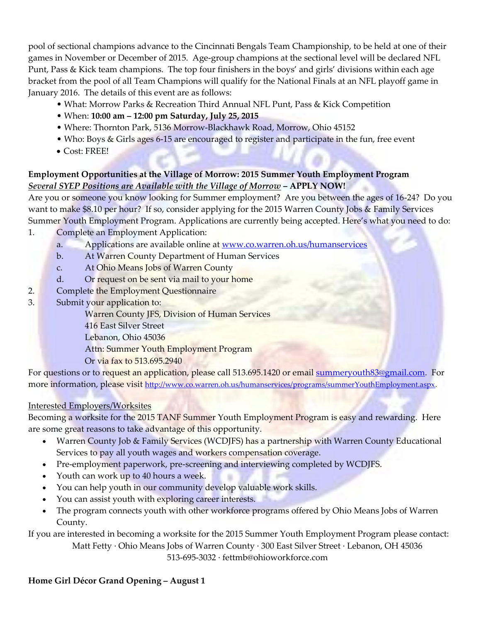pool of sectional champions advance to the Cincinnati Bengals Team Championship, to be held at one of their games in November or December of 2015. Age-group champions at the sectional level will be declared NFL Punt, Pass & Kick team champions. The top four finishers in the boys' and girls' divisions within each age bracket from the pool of all Team Champions will qualify for the National Finals at an NFL playoff game in January 2016. The details of this event are as follows:

- What: Morrow Parks & Recreation Third Annual NFL Punt, Pass & Kick Competition
- When: **10:00 am – 12:00 pm Saturday, July 25, 2015**
- Where: Thornton Park, 5136 Morrow-Blackhawk Road, Morrow, Ohio 45152
- Who: Boys & Girls ages 6-15 are encouraged to register and participate in the fun, free event
- Cost: FREE!

# **Employment Opportunities at the Village of Morrow: 2015 Summer Youth Employment Program** *Several SYEP Positions are Available with the Village of Morrow* **– APPLY NOW!**

Are you or someone you know looking for Summer employment? Are you between the ages of 16-24? Do you want to make \$8.10 per hour? If so, consider applying for the 2015 Warren County Jobs & Family Services Summer Youth Employment Program. Applications are currently being accepted. Here's what you need to do: 1. Complete an Employment Application:

- a. Applications are available online at [www.co.warren.oh.us/humanservices](http://www.co.warren.oh.us/humanservices)
- b. At Warren County Department of Human Services
- c. At Ohio Means Jobs of Warren County
- d. Or request on be sent via mail to your home
- 2. Complete the Employment Questionnaire
- 3. Submit your application to:

Warren County JFS, Division of Human Services

- 416 East Silver Street
- Lebanon, Ohio 45036

Attn: Summer Youth Employment Program

Or via fax to 513.695.2940

For questions or to request an application, please call 513.695.1420 or email [summeryouth83@gmail.com.](mailto:summeryouth83@gmail.com) For more information, please visit [http://www.co.warren.oh.us/humanservices/programs/summerYouthEmployment.aspx.](http://www.co.warren.oh.us/humanservices/programs/summerYouthEmployment.aspx)

# Interested Employers/Worksites

Becoming a worksite for the 2015 TANF Summer Youth Employment Program is easy and rewarding. Here are some great reasons to take advantage of this opportunity.

- Warren County Job & Family Services (WCDJFS) has a partnership with Warren County Educational Services to pay all youth wages and workers compensation coverage.
- Pre-employment paperwork, pre-screening and interviewing completed by WCDJFS.
- Youth can work up to 40 hours a week.
- You can help youth in our community develop valuable work skills.
- You can assist youth with exploring career interests.
- The program connects youth with other workforce programs offered by Ohio Means Jobs of Warren County.

If you are interested in becoming a worksite for the 2015 Summer Youth Employment Program please contact: Matt Fetty ∙ Ohio Means Jobs of Warren County ∙ 300 East Silver Street ∙ Lebanon, OH 45036 513-695-3032 ∙ fettmb@ohioworkforce.com

# **Home Girl Décor Grand Opening – August 1**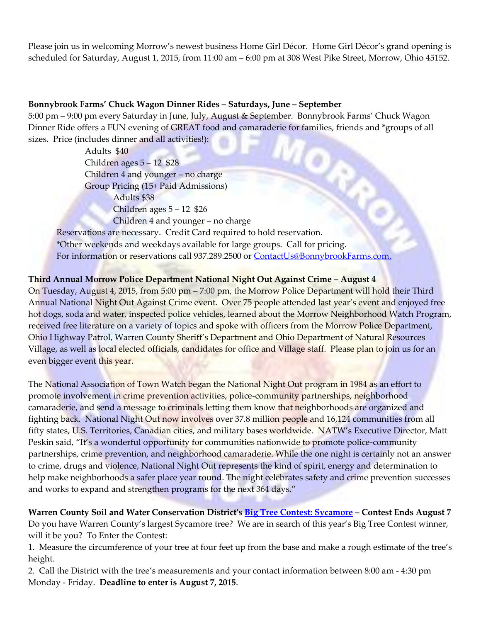Please join us in welcoming Morrow's newest business Home Girl Décor. Home Girl Décor's grand opening is scheduled for Saturday, August 1, 2015, from 11:00 am – 6:00 pm at 308 West Pike Street, Morrow, Ohio 45152.

#### **Bonnybrook Farms' Chuck Wagon Dinner Rides – Saturdays, June – September**

5:00 pm – 9:00 pm every Saturday in June, July, August & September. Bonnybrook Farms' Chuck Wagon Dinner Ride offers a FUN evening of GREAT food and camaraderie for families, friends and \*groups of all sizes. Price (includes dinner and all activities!):

**JORN** Adults \$40 Children ages 5 – 12 \$28 Children 4 and younger – no charge Group Pricing (15+ Paid Admissions) Adults \$38 Children ages 5 – 12 \$26 Children 4 and younger – no charge Reservations are necessary. Credit Card required to hold reservation. \*Other weekends and weekdays available for large groups. Call for pricing.

For information or reservations call 937.289.2500 or [ContactUs@BonnybrookFarms.com.](mailto:ContactUs@BonnybrookFarms.com)

## **Third Annual Morrow Police Department National Night Out Against Crime – August 4**

On Tuesday, August 4, 2015, from 5:00 pm – 7:00 pm, the Morrow Police Department will hold their Third Annual National Night Out Against Crime event. Over 75 people attended last year's event and enjoyed free hot dogs, soda and water, inspected police vehicles, learned about the Morrow Neighborhood Watch Program, received free literature on a variety of topics and spoke with officers from the Morrow Police Department, Ohio Highway Patrol, Warren County Sheriff's Department and Ohio Department of Natural Resources Village, as well as local elected officials, candidates for office and Village staff. Please plan to join us for an even bigger event this year.

The National Association of Town Watch began the National Night Out program in 1984 as an effort to promote involvement in crime prevention activities, police-community partnerships, neighborhood camaraderie, and send a message to criminals letting them know that neighborhoods are organized and fighting back. National Night Out now involves over 37.8 million people and 16,124 communities from all fifty states, U.S. Territories, Canadian cities, and military bases worldwide. NATW's Executive Director, Matt Peskin said, "It's a wonderful opportunity for communities nationwide to promote police-community partnerships, crime prevention, and neighborhood camaraderie. While the one night is certainly not an answer to crime, drugs and violence, National Night Out represents the kind of spirit, energy and determination to help make neighborhoods a safer place year round. The night celebrates safety and crime prevention successes and works to expand and strengthen programs for the next 364 days."

**Warren County Soil and Water Conservation District's [Big Tree Contest: Sycamore](http://www.warrenswcd.com/warren-county-soil-water-blog/big-tree-contest-sycamore) – Contest Ends August 7** Do you have Warren County's largest Sycamore tree? We are in search of this year's Big Tree Contest winner, will it be you? To Enter the Contest:

1. Measure the circumference of your tree at four feet up from the base and make a rough estimate of the tree's height.

2. Call the District with the tree's measurements and your contact information between 8:00 am - 4:30 pm Monday - Friday. **Deadline to enter is August 7, 2015**.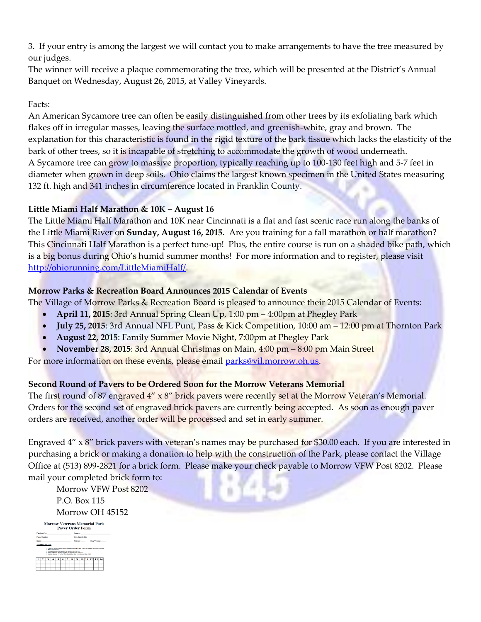3. If your entry is among the largest we will contact you to make arrangements to have the tree measured by our judges.

The winner will receive a plaque commemorating the tree, which will be presented at the District's Annual Banquet on Wednesday, August 26, 2015, at Valley Vineyards.

## Facts:

An American Sycamore tree can often be easily distinguished from other trees by its exfoliating bark which flakes off in irregular masses, leaving the surface mottled, and greenish-white, gray and brown. The explanation for this characteristic is found in the rigid texture of the bark tissue which lacks the elasticity of the bark of other trees, so it is incapable of stretching to accommodate the growth of wood underneath. A Sycamore tree can grow to massive proportion, typically reaching up to 100-130 feet high and 5-7 feet in diameter when grown in deep soils. Ohio claims the largest known specimen in the United States measuring 132 ft. high and 341 inches in circumference located in Franklin County.

# **Little Miami Half Marathon & 10K – August 16**

The Little Miami Half Marathon and 10K near Cincinnati is a flat and fast scenic race run along the banks of the Little Miami River on **Sunday, August 16, 2015**. Are you training for a fall marathon or half marathon? This Cincinnati Half Marathon is a perfect tune-up! Plus, the entire course is run on a shaded bike path, which is a big bonus during Ohio's humid summer months! For more information and to register, please visit [http://ohiorunning.com/LittleMiamiHalf/.](http://ohiorunning.com/LittleMiamiHalf/)

# **Morrow Parks & Recreation Board Announces 2015 Calendar of Events**

The Village of Morrow Parks & Recreation Board is pleased to announce their 2015 Calendar of Events:

- **April 11, 2015**: 3rd Annual Spring Clean Up, 1:00 pm 4:00pm at Phegley Park
- **July 25, 2015**: 3rd Annual NFL Punt, Pass & Kick Competition, 10:00 am 12:00 pm at Thornton Park
- **August 22, 2015**: Family Summer Movie Night, 7:00pm at Phegley Park
- **November 28, 2015**: 3rd Annual Christmas on Main, 4:00 pm 8:00 pm Main Street

For more information on these events, please email [parks@vil.morrow.oh.us.](mailto:parks@vil.morrow.oh.us)

## **Second Round of Pavers to be Ordered Soon for the Morrow Veterans Memorial**

The first round of 87 engraved  $4'' \times 8''$  brick pavers were recently set at the Morrow Veteran's Memorial. Orders for the second set of engraved brick pavers are currently being accepted. As soon as enough paver orders are received, another order will be processed and set in early summer.

Engraved 4" x 8" brick pavers with veteran's names may be purchased for \$30.00 each. If you are interested in purchasing a brick or making a donation to help with the construction of the Park, please contact the Village Office at (513) 899-2821 for a brick form. Please make your check payable to Morrow VFW Post 8202. Please mail your completed brick form to:

Morrow VFW Post 8202 P.O. Box 115 Morrow OH 45152

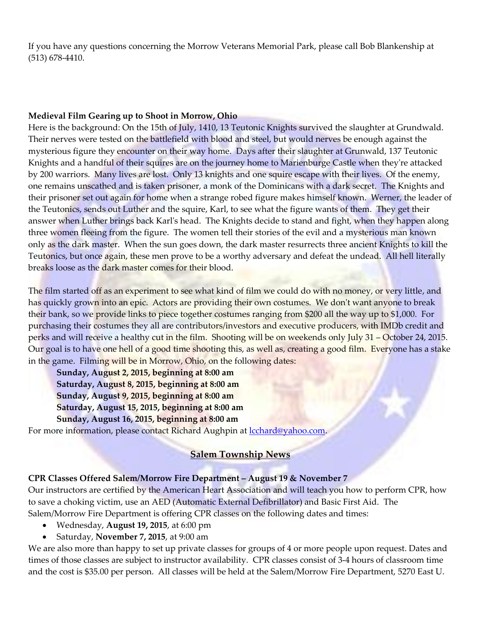If you have any questions concerning the Morrow Veterans Memorial Park, please call Bob Blankenship at (513) 678-4410.

#### **Medieval Film Gearing up to Shoot in Morrow, Ohio**

Here is the background: On the 15th of July, 1410, 13 Teutonic Knights survived the slaughter at Grundwald. Their nerves were tested on the battlefield with blood and steel, but would nerves be enough against the mysterious figure they encounter on their way home. Days after their slaughter at Grunwald, 137 Teutonic Knights and a handful of their squires are on the journey home to Marienburge Castle when they're attacked by 200 warriors. Many lives are lost. Only 13 knights and one squire escape with their lives. Of the enemy, one remains unscathed and is taken prisoner, a monk of the Dominicans with a dark secret. The Knights and their prisoner set out again for home when a strange robed figure makes himself known. Werner, the leader of the Teutonics, sends out Luther and the squire, Karl, to see what the figure wants of them. They get their answer when Luther brings back Karl's head. The Knights decide to stand and fight, when they happen along three women fleeing from the figure. The women tell their stories of the evil and a mysterious man known only as the dark master. When the sun goes down, the dark master resurrects three ancient Knights to kill the Teutonics, but once again, these men prove to be a worthy adversary and defeat the undead. All hell literally breaks loose as the dark master comes for their blood.

The film started off as an experiment to see what kind of film we could do with no money, or very little, and has quickly grown into an epic. Actors are providing their own costumes. We don't want anyone to break their bank, so we provide links to piece together costumes ranging from \$200 all the way up to \$1,000. For purchasing their costumes they all are contributors/investors and executive producers, with IMDb credit and perks and will receive a healthy cut in the film. Shooting will be on weekends only July 31 – October 24, 2015. Our goal is to have one hell of a good time shooting this, as well as, creating a good film. Everyone has a stake in the game. Filming will be in Morrow, Ohio, on the following dates:

**Sunday, August 2, 2015, beginning at 8:00 am Saturday, August 8, 2015, beginning at 8:00 am Sunday, August 9, 2015, beginning at 8:00 am Saturday, August 15, 2015, beginning at 8:00 am Sunday, August 16, 2015, beginning at 8:00 am**

For more information, please contact Richard Aughpin at [lcchard@yahoo.com.](mailto:lcchard@yahoo.com)

# **Salem Township News**

#### **CPR Classes Offered Salem/Morrow Fire Department – August 19 & November 7**

Our instructors are certified by the American Heart Association and will teach you how to perform CPR, how to save a choking victim, use an AED (Automatic External Defibrillator) and Basic First Aid. The Salem/Morrow Fire Department is offering CPR classes on the following dates and times:

- Wednesday, **August 19, 2015**, at 6:00 pm
- Saturday, **November 7, 2015**, at 9:00 am

We are also more than happy to set up private classes for groups of 4 or more people upon request. Dates and times of those classes are subject to instructor availability. CPR classes consist of 3-4 hours of classroom time and the cost is \$35.00 per person. All classes will be held at the Salem/Morrow Fire Department, 5270 East U.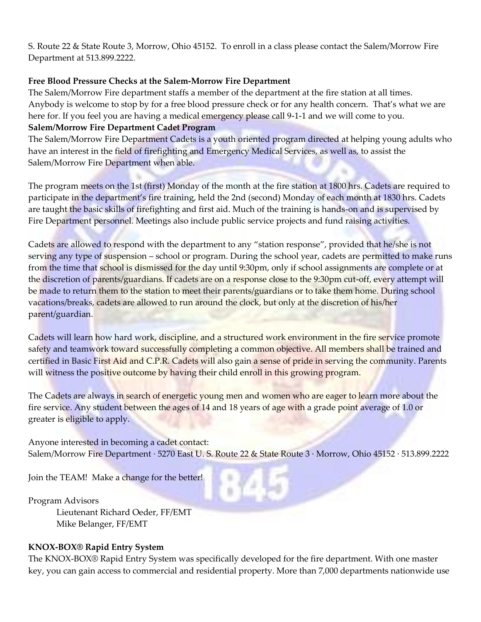S. Route 22 & State Route 3, Morrow, Ohio 45152. To enroll in a class please contact the Salem/Morrow Fire Department at 513.899.2222.

#### **Free Blood Pressure Checks at the Salem-Morrow Fire Department**

The Salem/Morrow Fire department staffs a member of the department at the fire station at all times. Anybody is welcome to stop by for a free blood pressure check or for any health concern. That's what we are here for. If you feel you are having a medical emergency please call 9-1-1 and we will come to you. **Salem/Morrow Fire Department Cadet Program**

The Salem/Morrow Fire Department Cadets is a youth oriented program directed at helping young adults who have an interest in the field of firefighting and Emergency Medical Services, as well as, to assist the Salem/Morrow Fire Department when able.

The program meets on the 1st (first) Monday of the month at the fire station at 1800 hrs. Cadets are required to participate in the department's fire training, held the 2nd (second) Monday of each month at 1830 hrs. Cadets are taught the basic skills of firefighting and first aid. Much of the training is hands-on and is supervised by Fire Department personnel. Meetings also include public service projects and fund raising activities.

Cadets are allowed to respond with the department to any "station response", provided that he/she is not serving any type of suspension – school or program. During the school year, cadets are permitted to make runs from the time that school is dismissed for the day until 9:30pm, only if school assignments are complete or at the discretion of parents/guardians. If cadets are on a response close to the 9:30pm cut-off, every attempt will be made to return them to the station to meet their parents/guardians or to take them home. During school vacations/breaks, cadets are allowed to run around the clock, but only at the discretion of his/her parent/guardian.

Cadets will learn how hard work, discipline, and a structured work environment in the fire service promote safety and teamwork toward successfully completing a common objective. All members shall be trained and certified in Basic First Aid and C.P.R. Cadets will also gain a sense of pride in serving the community. Parents will witness the positive outcome by having their child enroll in this growing program.

The Cadets are always in search of energetic young men and women who are eager to learn more about the fire service. Any student between the ages of 14 and 18 years of age with a grade point average of 1.0 or greater is eligible to apply.

Anyone interested in becoming a cadet contact: Salem/Morrow Fire Department ∙ 5270 East U. S. Route 22 & State Route 3 ∙ Morrow, Ohio 45152 ∙ 513.899.2222

Join the TEAM! Make a change for the better!

Program Advisors Lieutenant Richard Oeder, FF/EMT Mike Belanger, FF/EMT

## **KNOX-BOX® Rapid Entry System**

The KNOX-BOX® Rapid Entry System was specifically developed for the fire department. With one master key, you can gain access to commercial and residential property. More than 7,000 departments nationwide use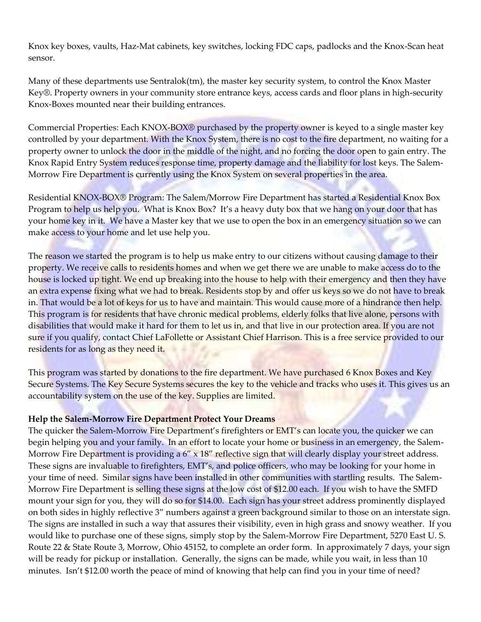Knox key boxes, vaults, Haz-Mat cabinets, key switches, locking FDC caps, padlocks and the Knox-Scan heat sensor.

Many of these departments use Sentralok(tm), the master key security system, to control the Knox Master Key®. Property owners in your community store entrance keys, access cards and floor plans in high-security Knox-Boxes mounted near their building entrances.

Commercial Properties: Each KNOX-BOX® purchased by the property owner is keyed to a single master key controlled by your department. With the Knox System, there is no cost to the fire department, no waiting for a property owner to unlock the door in the middle of the night, and no forcing the door open to gain entry. The Knox Rapid Entry System reduces response time, property damage and the liability for lost keys. The Salem-Morrow Fire Department is currently using the Knox System on several properties in the area.

Residential KNOX-BOX® Program: The Salem/Morrow Fire Department has started a Residential Knox Box Program to help us help you. What is Knox Box? It's a heavy duty box that we hang on your door that has your home key in it. We have a Master key that we use to open the box in an emergency situation so we can make access to your home and let use help you.

The reason we started the program is to help us make entry to our citizens without causing damage to their property. We receive calls to residents homes and when we get there we are unable to make access do to the house is locked up tight. We end up breaking into the house to help with their emergency and then they have an extra expense fixing what we had to break. Residents stop by and offer us keys so we do not have to break in. That would be a lot of keys for us to have and maintain. This would cause more of a hindrance then help. This program is for residents that have chronic medical problems, elderly folks that live alone, persons with disabilities that would make it hard for them to let us in, and that live in our protection area. If you are not sure if you qualify, contact Chief LaFollette or Assistant Chief Harrison. This is a free service provided to our residents for as long as they need it.

This program was started by donations to the fire department. We have purchased 6 Knox Boxes and Key Secure Systems. The Key Secure Systems secures the key to the vehicle and tracks who uses it. This gives us an accountability system on the use of the key. Supplies are limited.

## **Help the Salem-Morrow Fire Department Protect Your Dreams**

The quicker the Salem-Morrow Fire Department's firefighters or EMT's can locate you, the quicker we can begin helping you and your family. In an effort to locate your home or business in an emergency, the Salem-Morrow Fire Department is providing a  $6'' \times 18''$  reflective sign that will clearly display your street address. These signs are invaluable to firefighters, EMT's, and police officers, who may be looking for your home in your time of need. Similar signs have been installed in other communities with startling results. The Salem-Morrow Fire Department is selling these signs at the low cost of \$12.00 each. If you wish to have the SMFD mount your sign for you, they will do so for \$14.00. Each sign has your street address prominently displayed on both sides in highly reflective 3" numbers against a green background similar to those on an interstate sign. The signs are installed in such a way that assures their visibility, even in high grass and snowy weather. If you would like to purchase one of these signs, simply stop by the Salem-Morrow Fire Department, 5270 East U. S. Route 22 & State Route 3, Morrow, Ohio 45152, to complete an order form. In approximately 7 days, your sign will be ready for pickup or installation. Generally, the signs can be made, while you wait, in less than 10 minutes. Isn't \$12.00 worth the peace of mind of knowing that help can find you in your time of need?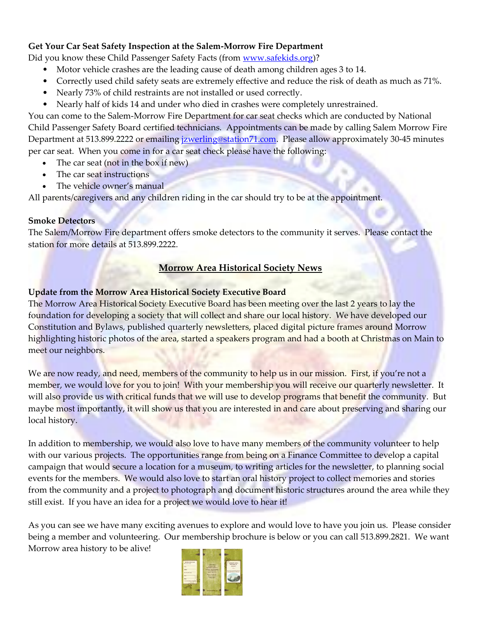## **Get Your Car Seat Safety Inspection at the Salem-Morrow Fire Department**

Did you know these Child Passenger Safety Facts (from [www.safekids.org\)](http://www.safekids.org/)?

- Motor vehicle crashes are the leading cause of death among children ages 3 to 14.
- Correctly used child safety seats are extremely effective and reduce the risk of death as much as 71%.
- Nearly 73% of child restraints are not installed or used correctly.
- Nearly half of kids 14 and under who died in crashes were completely unrestrained.

You can come to the Salem-Morrow Fire Department for car seat checks which are conducted by National Child Passenger Safety Board certified technicians. Appointments can be made by calling Salem Morrow Fire Department at 513.899.2222 or emailing [jzwerling@station71.com.](mailto:jzwerling@station71.com) Please allow approximately 30-45 minutes per car seat. When you come in for a car seat check please have the following:

- The car seat (not in the box if new)
- The car seat instructions
- The vehicle owner's manual

All parents/caregivers and any children riding in the car should try to be at the appointment.

#### **Smoke Detectors**

The Salem/Morrow Fire department offers smoke detectors to the community it serves. Please contact the station for more details at 513.899.2222.

# **Morrow Area Historical Society News**

## **Update from the Morrow Area Historical Society Executive Board**

The Morrow Area Historical Society Executive Board has been meeting over the last 2 years to lay the foundation for developing a society that will collect and share our local history. We have developed our Constitution and Bylaws, published quarterly newsletters, placed digital picture frames around Morrow highlighting historic photos of the area, started a speakers program and had a booth at Christmas on Main to meet our neighbors.

We are now ready, and need, members of the community to help us in our mission. First, if you're not a member, we would love for you to join! With your membership you will receive our quarterly newsletter. It will also provide us with critical funds that we will use to develop programs that benefit the community. But maybe most importantly, it will show us that you are interested in and care about preserving and sharing our local history.

In addition to membership, we would also love to have many members of the community volunteer to help with our various projects. The opportunities range from being on a Finance Committee to develop a capital campaign that would secure a location for a museum, to writing articles for the newsletter, to planning social events for the members. We would also love to start an oral history project to collect memories and stories from the community and a project to photograph and document historic structures around the area while they still exist. If you have an idea for a project we would love to hear it!

As you can see we have many exciting avenues to explore and would love to have you join us. Please consider being a member and volunteering. Our membership brochure is below or you can call 513.899.2821. We want Morrow area history to be alive!

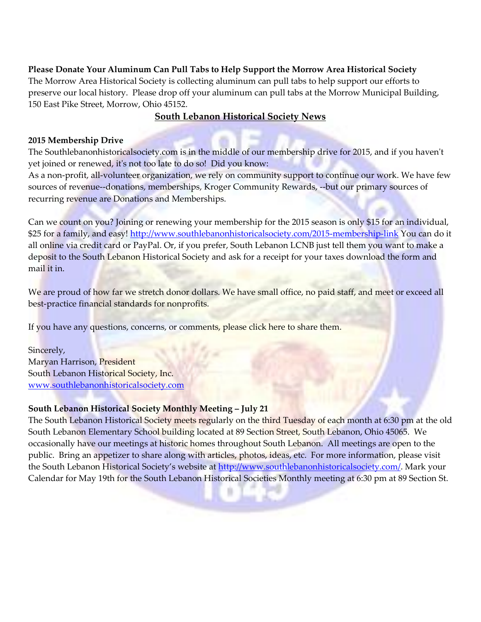**Please Donate Your Aluminum Can Pull Tabs to Help Support the Morrow Area Historical Society**  The Morrow Area Historical Society is collecting aluminum can pull tabs to help support our efforts to preserve our local history. Please drop off your aluminum can pull tabs at the Morrow Municipal Building, 150 East Pike Street, Morrow, Ohio 45152.

## **South Lebanon Historical Society News**

#### **2015 Membership Drive**

The Southlebanonhistoricalsociety.com is in the middle of our membership drive for 2015, and if you haven't yet joined or renewed, it's not too late to do so! Did you know:

As a non-profit, all-volunteer organization, we rely on community support to continue our work. We have few sources of revenue--donations, memberships, Kroger Community Rewards, --but our primary sources of recurring revenue are Donations and Memberships.

Can we count on you? Joining or renewing your membership for the 2015 season is only \$15 for an individual, \$25 for a family, and easy!<http://www.southlebanonhistoricalsociety.com/2015-membership-link> You can do it all online via credit card or PayPal. Or, if you prefer, South Lebanon LCNB just tell them you want to make a deposit to the South Lebanon Historical Society and ask for a receipt for your taxes download the form and mail it in.

We are proud of how far we stretch donor dollars. We have small office, no paid staff, and meet or exceed all best-practice financial standards for nonprofits.

If you have any questions, concerns, or comments, please click here to share them.

Sincerely, Maryan Harrison, President South Lebanon Historical Society, Inc. [www.southlebanonhistoricalsociety.com](http://www.southlebanonhistoricalsociety.com/)

## **South Lebanon Historical Society Monthly Meeting – July 21**

The South Lebanon Historical Society meets regularly on the third Tuesday of each month at 6:30 pm at the old South Lebanon Elementary School building located at 89 Section Street, South Lebanon, Ohio 45065. We occasionally have our meetings at historic homes throughout South Lebanon. All meetings are open to the public. Bring an appetizer to share along with articles, photos, ideas, etc. For more information, please visit the South Lebanon Historical Society's website at [http://www.southlebanonhistoricalsociety.com/.](http://www.southlebanonhistoricalsociety.com/) Mark your Calendar for May 19th for the South Lebanon Historical Societies Monthly meeting at 6:30 pm at 89 Section St.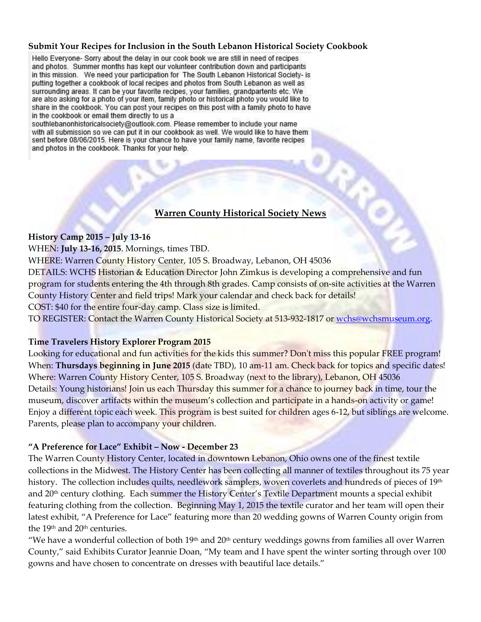#### **Submit Your Recipes for Inclusion in the South Lebanon Historical Society Cookbook**

Hello Everyone- Sorry about the delay in our cook book we are still in need of recipes and photos. Summer months has kept our volunteer contribution down and participants in this mission. We need your participation for The South Lebanon Historical Society- is putting together a cookbook of local recipes and photos from South Lebanon as well as surrounding areas. It can be your favorite recipes, your families, grandpartents etc. We are also asking for a photo of your item, family photo or historical photo you would like to share in the cookbook. You can post your recipes on this post with a family photo to have in the cookbook or email them directly to us a

southlebanonhistoricalsociety@outlook.com. Please remember to include your name with all submission so we can put it in our cookbook as well. We would like to have them sent before 08/06/2015. Here is your chance to have your family name, favorite recipes and photos in the cookbook. Thanks for your help.

## **Warren County Historical Society News**

#### **History Camp 2015 – July 13-16**

WHEN: **July 13-16, 2015**. Mornings, times TBD.

WHERE: Warren County History Center, 105 S. Broadway, Lebanon, OH 45036

DETAILS: WCHS Historian & Education Director John Zimkus is developing a comprehensive and fun program for students entering the 4th through 8th grades. Camp consists of on-site activities at the Warren County History Center and field trips! Mark your calendar and check back for details! COST: \$40 for the entire four-day camp. Class size is limited.

TO REGISTER: Contact the Warren County Historical Society at 513-932-1817 or [wchs@wchsmuseum.org.](mailto:wchs@wchsmuseum.org)

#### **Time Travelers History Explorer Program 2015**

Looking for educational and fun activities for the kids this summer? Don't miss this popular FREE program! When: **Thursdays beginning in June 2015** (date TBD), 10 am-11 am. Check back for topics and specific dates! Where: Warren County History Center, 105 S. Broadway (next to the library), Lebanon, OH 45036 Details: Young historians! Join us each Thursday this summer for a chance to journey back in time, tour the museum, discover artifacts within the museum's collection and participate in a hands-on activity or game! Enjoy a different topic each week. This program is best suited for children ages 6-12, but siblings are welcome. Parents, please plan to accompany your children.

#### **"A Preference for Lace" Exhibit – Now - December 23**

The Warren County History Center, located in downtown Lebanon, Ohio owns one of the finest textile collections in the Midwest. The History Center has been collecting all manner of textiles throughout its 75 year history. The collection includes quilts, needlework samplers, woven coverlets and hundreds of pieces of 19<sup>th</sup> and 20<sup>th</sup> century clothing. Each summer the History Center's Textile Department mounts a special exhibit featuring clothing from the collection. Beginning May 1, 2015 the textile curator and her team will open their latest exhibit, "A Preference for Lace" featuring more than 20 wedding gowns of Warren County origin from the 19<sup>th</sup> and 20<sup>th</sup> centuries.

"We have a wonderful collection of both  $19<sup>th</sup>$  and  $20<sup>th</sup>$  century weddings gowns from families all over Warren County," said Exhibits Curator Jeannie Doan, "My team and I have spent the winter sorting through over 100 gowns and have chosen to concentrate on dresses with beautiful lace details."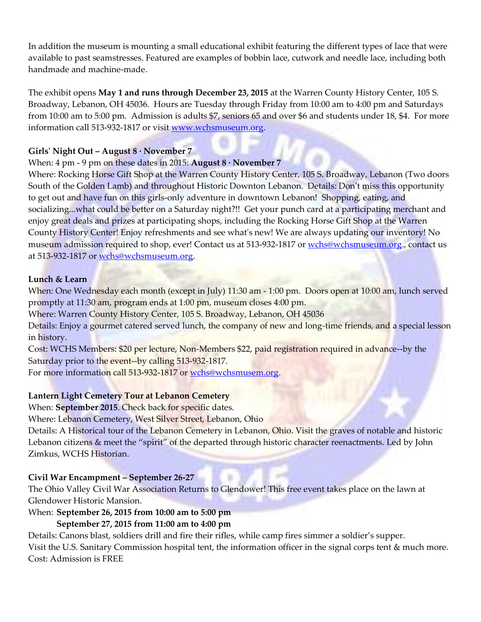In addition the museum is mounting a small educational exhibit featuring the different types of lace that were available to past seamstresses. Featured are examples of bobbin lace, cutwork and needle lace, including both handmade and machine-made.

The exhibit opens **May 1 and runs through December 23, 2015** at the Warren County History Center, 105 S. Broadway, Lebanon, OH 45036. Hours are Tuesday through Friday from 10:00 am to 4:00 pm and Saturdays from 10:00 am to 5:00 pm. Admission is adults \$7, seniors 65 and over \$6 and students under 18, \$4. For more information call 513-932-1817 or visit [www.wchsmuseum.org.](http://www.wchsmuseum.org/)

# **Girls' Night Out – August 8 ∙ November 7**

## When: 4 pm - 9 pm on these dates in 2015: **August 8 ∙ November 7**

Where: Rocking Horse Gift Shop at the Warren County History Center, 105 S. Broadway, Lebanon (Two doors South of the Golden Lamb) and throughout Historic Downton Lebanon. Details: Don't miss this opportunity to get out and have fun on this girls-only adventure in downtown Lebanon! Shopping, eating, and socializing...what could be better on a Saturday night?!! Get your punch card at a participating merchant and enjoy great deals and prizes at participating shops, including the Rocking Horse Gift Shop at the Warren County History Center! Enjoy refreshments and see what's new! We are always updating our inventory! No museum admission required to shop, ever! Contact us at 513-932-1817 or [wchs@wchsmuseum.org.](mailto:wchs@wchsmuseum.org), contact us at 513-932-1817 or [wchs@wchsmuseum.org.](mailto:wchs@wchsmuseum.org)

#### **Lunch & Learn**

When: One Wednesday each month (except in July) 11:30 am - 1:00 pm. Doors open at 10:00 am, lunch served promptly at 11:30 am, program ends at 1:00 pm, museum closes 4:00 pm.

Where: Warren County History Center, 105 S. Broadway, Lebanon, OH 45036

Details: Enjoy a gourmet catered served lunch, the company of new and long-time friends, and a special lesson in history.

Cost: WCHS Members: \$20 per lecture, Non-Members \$22, paid registration required in advance--by the Saturday prior to the event--by calling 513-932-1817.

For more information call 513-932-1817 or [wchs@wchsmusem.org.](mailto:wchs@wchsmuseum.org)

## **Lantern Light Cemetery Tour at Lebanon Cemetery**

When: **September 2015**. Check back for specific dates.

Where: Lebanon Cemetery, West Silver Street, Lebanon, Ohio

Details: A Historical tour of the Lebanon Cemetery in Lebanon, Ohio. Visit the graves of notable and historic Lebanon citizens & meet the "spirit" of the departed through historic character reenactments. Led by John Zimkus, WCHS Historian.

## **Civil War Encampment – September 26-27**

The Ohio Valley Civil War Association Returns to Glendower! This free event takes place on the lawn at Glendower Historic Mansion.

When: **September 26, 2015 from 10:00 am to 5:00 pm**

## **September 27, 2015 from 11:00 am to 4:00 pm**

Details: Canons blast, soldiers drill and fire their rifles, while camp fires simmer a soldier's supper. Visit the U.S. Sanitary Commission hospital tent, the information officer in the signal corps tent & much more. Cost: Admission is FREE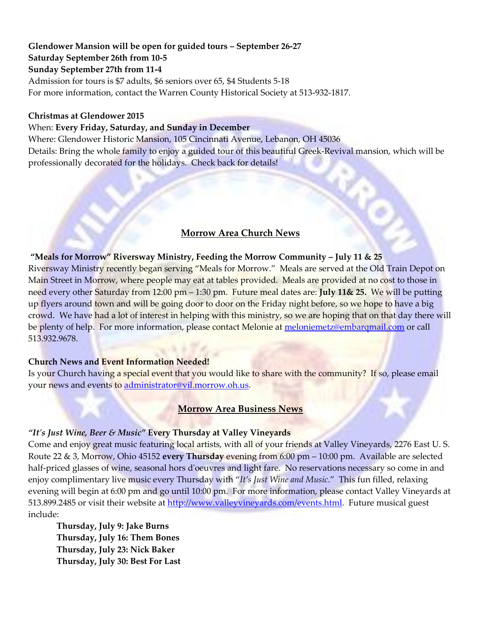# **Glendower Mansion will be open for guided tours – September 26-27**

**Saturday September 26th from 10-5**

# **Sunday September 27th from 11-4**

Admission for tours is \$7 adults, \$6 seniors over 65, \$4 Students 5-18 For more information, contact the Warren County Historical Society at 513-932-1817.

#### **Christmas at Glendower 2015**

## When: **Every Friday, Saturday, and Sunday in December**

Where: Glendower Historic Mansion, 105 Cincinnati Avenue, Lebanon, OH 45036 Details: Bring the whole family to enjoy a guided tour of this beautiful Greek-Revival mansion, which will be professionally decorated for the holidays. Check back for details!

# **Morrow Area Church News**

# **"Meals for Morrow" Riversway Ministry, Feeding the Morrow Community – July 11 & 25**

Riversway Ministry recently began serving "Meals for Morrow." Meals are served at the Old Train Depot on Main Street in Morrow, where people may eat at tables provided. Meals are provided at no cost to those in need every other Saturday from 12:00 pm – 1:30 pm. Future meal dates are: **July 11& 25.** We will be putting up flyers around town and will be going door to door on the Friday night before, so we hope to have a big crowd. We have had a lot of interest in helping with this ministry, so we are hoping that on that day there will be plenty of help. For more information, please contact Melonie at [meloniemetz@embarqmail.com](mailto:meloniemetz@embarqmail.com) or call 513.932.9678.

## **Church News and Event Information Needed!**

Is your Church having a special event that you would like to share with the community? If so, please email your news and events to [administrator@vil.morrow.oh.us.](mailto:administrator@vil.morrow.oh.us)

## **Morrow Area Business News**

## *"It's Just Wine, Beer & Music"* **Every Thursday at Valley Vineyards**

Come and enjoy great music featuring local artists, with all of your friends at Valley Vineyards, 2276 East U. S. Route 22 & 3, Morrow, Ohio 45152 **every Thursday** evening from 6:00 pm – 10:00 pm. Available are selected half-priced glasses of wine, seasonal hors d'oeuvres and light fare. No reservations necessary so come in and enjoy complimentary live music every Thursday with "*It's Just Wine and Music*." This fun filled, relaxing evening will begin at 6:00 pm and go until 10:00 pm. For more information, please contact Valley Vineyards at 513.899.2485 or visit their website at [http://www.valleyvineyards.com/events.html.](http://www.valleyvineyards.com/events.html) Future musical guest include:

**Thursday, July 9: Jake Burns Thursday, July 16: Them Bones Thursday, July 23: Nick Baker Thursday, July 30: Best For Last**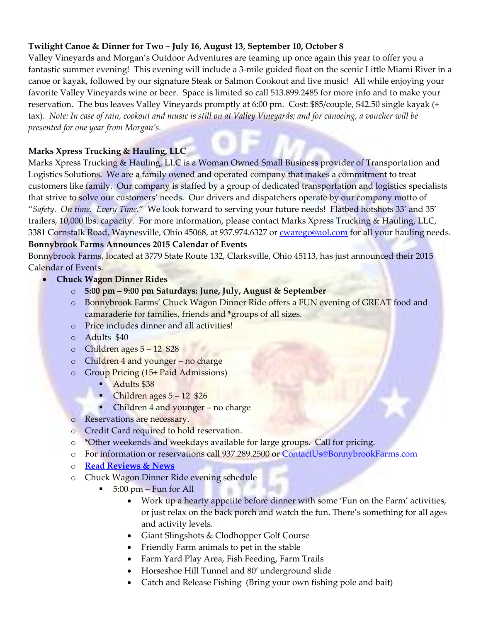## **Twilight Canoe & Dinner for Two – July 16, August 13, September 10, October 8**

Valley Vineyards and Morgan's Outdoor Adventures are teaming up once again this year to offer you a fantastic summer evening! This evening will include a 3-mile guided float on the scenic Little Miami River in a canoe or kayak, followed by our signature Steak or Salmon Cookout and live music! All while enjoying your favorite Valley Vineyards wine or beer. Space is limited so call 513.899.2485 for more info and to make your reservation. The bus leaves Valley Vineyards promptly at 6:00 pm. Cost: \$85/couple, \$42.50 single kayak (+ tax). *Note: In case of rain, cookout and music is still on at Valley Vineyards; and for canoeing, a voucher will be presented for one year from Morgan's.*

# **Marks Xpress Trucking & Hauling, LLC**

Marks Xpress Trucking & Hauling, LLC is a Woman Owned Small Business provider of Transportation and Logistics Solutions. We are a family owned and operated company that makes a commitment to treat customers like family. Our company is staffed by a group of dedicated transportation and logistics specialists that strive to solve our customers' needs. Our drivers and dispatchers operate by our company motto of "*Safety. On time. Every Time.*" We look forward to serving your future needs! Flatbed hotshots 33' and 35' trailers, 10,000 lbs. capacity. For more information, please contact Marks Xpress Trucking & Hauling, LLC, 3381 Cornstalk Road, Waynesville, Ohio 45068, at 937.974.6327 or **cwarego@aol.com** for all your hauling needs. **Bonnybrook Farms Announces 2015 Calendar of Events**

Bonnybrook Farms, located at 3779 State Route 132, Clarksville, Ohio 45113, has just announced their 2015 Calendar of Events.

- **Chuck Wagon Dinner Rides**
	- o **5:00 pm – 9:00 pm Saturdays: June, July, August & September**
	- o Bonnybrook Farms' Chuck Wagon Dinner Ride offers a FUN evening of GREAT food and camaraderie for families, friends and \*groups of all sizes.
	- o Price includes dinner and all activities!
	- o Adults \$40
	- $\circ$  Children ages  $5 12$  \$28
	- o Children 4 and younger no charge
	- o Group Pricing (15+ Paid Admissions)
		- Adults \$38
		- Children ages 5 12 \$26
		- Children 4 and younger no charge
	- o Reservations are necessary.
	- o Credit Card required to hold reservation.
	- o \*Other weekends and weekdays available for large groups. Call for pricing.
	- o For information or reservations call 937.289.2500 or [ContactUs@BonnybrookFarms.com](mailto:ContactUs@BonnybrookFarms.com)
	- o **[Read Reviews & News](http://bonnybrookfarms.com/chuckwagondinnerrides/reviews-and-news/)**
	- o Chuck Wagon Dinner Ride evening schedule
		- 5:00 pm Fun for All
			- Work up a hearty appetite before dinner with some 'Fun on the Farm' activities, or just relax on the back porch and watch the fun. There's something for all ages and activity levels.
			- Giant Slingshots & Clodhopper Golf Course
			- Friendly Farm animals to pet in the stable
			- Farm Yard Play Area, Fish Feeding, Farm Trails
			- Horseshoe Hill Tunnel and 80′ underground slide
			- Catch and Release Fishing (Bring your own fishing pole and bait)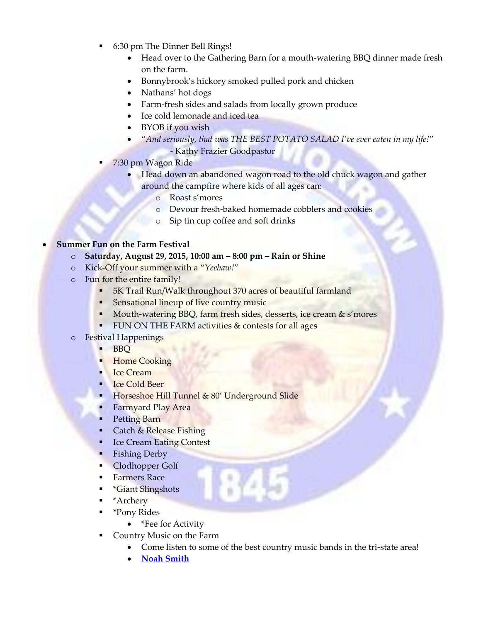- 6:30 pm The Dinner Bell Rings!
	- Head over to the Gathering Barn for a mouth-watering BBQ dinner made fresh on the farm.
	- Bonnybrook's hickory smoked pulled pork and chicken
	- Nathans' hot dogs
	- Farm-fresh sides and salads from locally grown produce
	- Ice cold lemonade and iced tea
	- BYOB if you wish
	- "*And seriously, that was THE BEST POTATO SALAD I've ever eaten in my life!*" - Kathy Frazier Goodpastor
- 7:30 pm Wagon Ride
	- Head down an abandoned wagon road to the old chuck wagon and gather around the campfire where kids of all ages can:
		- o Roast s'mores
		- o Devour fresh-baked homemade cobblers and cookies
		- o Sip tin cup coffee and soft drinks

# **Summer Fun on the Farm Festival**

- o **Saturday, August 29, 2015, 10:00 am – 8:00 pm – Rain or Shine**
- o Kick-Off your summer with a "*Yeehaw!*"
- o Fun for the entire family!
	- **5K Trail Run/Walk throughout 370 acres of beautiful farmland**
	- **Sensational lineup of live country music**
	- Mouth-watering BBQ, farm fresh sides, desserts, ice cream & s'mores
	- **FUN ON THE FARM activities & contests for all ages**
- o Festival Happenings
	- **BBQ**
	- **Home Cooking**
	- **Ice Cream**
	- Ice Cold Beer
	- Horseshoe Hill Tunnel  $& 80'$  Underground Slide
	- Farmyard Play Area
	- Petting Barn
	- Catch & Release Fishing
	- **Ice Cream Eating Contest**
	- **Fishing Derby**
	- Clodhopper Golf
	- **Farmers Race**
	- \*Giant Slingshots
	- \*Archery
	- \*Pony Rides
		- \*Fee for Activity
	- Country Music on the Farm
		- Come listen to some of the best country music bands in the tri-state area!
		- **[Noah Smith](http://noahsmithmusic.com/)**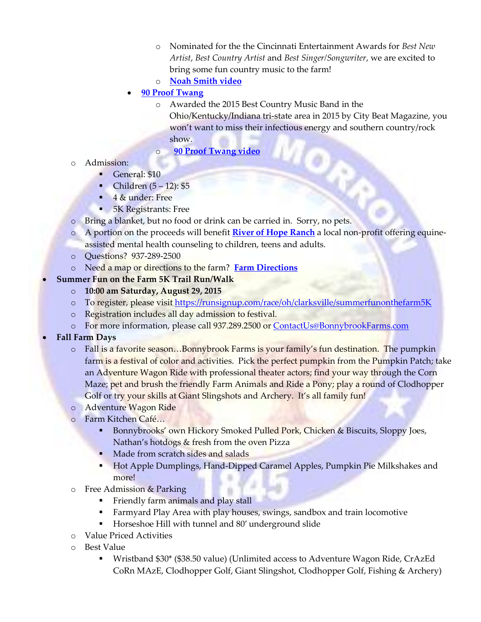- o Nominated for the the Cincinnati Entertainment Awards for *Best New Artist*, *Best Country Artist* and *Best Singer/Songwriter*, we are excited to bring some fun country music to the farm!
- o **[Noah Smith video](https://www.youtube.com/watch?v=7FUlqhggnhc)**
- **[90 Proof Twang](http://www.reverbnation.com/90prooftwang)**
	- o Awarded the 2015 Best Country Music Band in the Ohio/Kentucky/Indiana tri-state area in 2015 by City Beat Magazine, you won't want to miss their infectious energy and southern country/rock show.
	- o **[90 Proof Twang video](https://www.youtube.com/watch?v=EDljazhzwP8)**
- o Admission:
	- General: \$10
	- Children  $(5 12)$ : \$5
	- 4 & under: Free
	- **5K Registrants: Free**
- o Bring a blanket, but no food or drink can be carried in. Sorry, no pets.
- o A portion on the proceeds will benefit **[River of Hope Ranch](http://riverofhoperanch.org/)** a local non-profit offering equineassisted mental health counseling to children, teens and adults.
- o Questions? 937-289-2500
- o Need a map or directions to the farm? **[Farm Directions](http://bonnybrookfarms.com/directions/)**
- **Summer Fun on the Farm 5K Trail Run/Walk**
	- o **10:00 am Saturday, August 29, 2015**
	- o To register, please visi[t https://runsignup.com/race/oh/clarksville/summerfunonthefarm5K](https://runsignup.com/race/oh/clarksville/summerfunonthefarm5K)
	- o Registration includes all day admission to festival.
	- o For more information, please call 937.289.2500 or [ContactUs@BonnybrookFarms.com](mailto:ContactUs@BonnybrookFarms.com)
- **Fall Farm Days**
	- o Fall is a favorite season…Bonnybrook Farms is your family's fun destination. The pumpkin farm is a festival of color and activities. Pick the perfect pumpkin from the Pumpkin Patch; take an Adventure Wagon Ride with professional theater actors; find your way through the Corn Maze; pet and brush the friendly Farm Animals and Ride a Pony; play a round of Clodhopper Golf or try your skills at Giant Slingshots and Archery. It's all family fun!
	- o Adventure Wagon Ride
	- o Farm Kitchen Café…
		- Bonnybrooks' own Hickory Smoked Pulled Pork, Chicken & Biscuits, Sloppy Joes, Nathan's hotdogs & fresh from the oven Pizza
		- Made from scratch sides and salads
		- **Hot Apple Dumplings, Hand-Dipped Caramel Apples, Pumpkin Pie Milkshakes and** more!
	- o Free Admission & Parking
		- Friendly farm animals and play stall
		- Farmyard Play Area with play houses, swings, sandbox and train locomotive
		- Horseshoe Hill with tunnel and 80' underground slide
	- o Value Priced Activities
	- o Best Value
		- Wristband \$30\* (\$38.50 value) (Unlimited access to Adventure Wagon Ride, CrAzEd CoRn MAzE, Clodhopper Golf, Giant Slingshot, Clodhopper Golf, Fishing & Archery)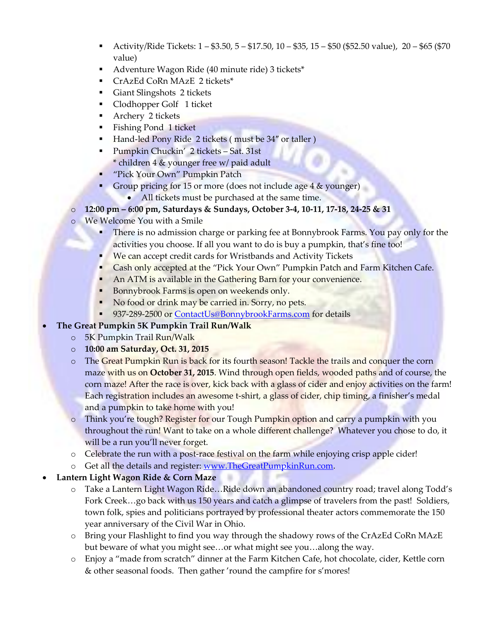- Activity/Ride Tickets:  $1 $3.50, 5 $17.50, 10 $35, 15 $50 ($52.50 value), 20 $65 ($70$ value)
- Adventure Wagon Ride (40 minute ride) 3 tickets\*
- CrAzEd CoRn MAzE 2 tickets\*
- Giant Slingshots 2 tickets
- Clodhopper Golf 1 ticket
- **Archery 2 tickets**
- **Fishing Pond 1 ticket**
- Hand-led Pony Ride 2 tickets (must be 34" or taller )
- **Pumpkin Chuckin' 2 tickets Sat. 31st** \* children 4 & younger free w/ paid adult
- "Pick Your Own" Pumpkin Patch
- Group pricing for 15 or more (does not include age 4 & younger)
	- All tickets must be purchased at the same time.
- o **12:00 pm – 6:00 pm, Saturdays & Sundays, October 3-4, 10-11, 17-18, 24-25 & 31**
- o We Welcome You with a Smile
	- There is no admission charge or parking fee at Bonnybrook Farms. You pay only for the activities you choose. If all you want to do is buy a pumpkin, that's fine too!
	- We can accept credit cards for Wristbands and Activity Tickets
	- Cash only accepted at the "Pick Your Own" Pumpkin Patch and Farm Kitchen Cafe.
	- An ATM is available in the Gathering Barn for your convenience.
	- Bonnybrook Farms is open on weekends only.
	- No food or drink may be carried in. Sorry, no pets.
	- 937-289-2500 or [ContactUs@BonnybrookFarms.com](mailto:ContactUs@BonnybrookFarms.com) for details

# **The Great Pumpkin 5K Pumpkin Trail Run/Walk**

- o 5K Pumpkin Trail Run/Walk
- o **10:00 am Saturday, Oct. 31, 2015**
- o The Great Pumpkin Run is back for its fourth season! Tackle the trails and conquer the corn maze with us on **October 31, 2015**. Wind through open fields, wooded paths and of course, the corn maze! After the race is over, kick back with a glass of cider and enjoy activities on the farm! Each registration includes an awesome t-shirt, a glass of cider, chip timing, a finisher's medal and a pumpkin to take home with you!
- Think you're tough? Register for our Tough Pumpkin option and carry a pumpkin with you throughout the run! Want to take on a whole different challenge? Whatever you chose to do, it will be a run you'll never forget.
- o Celebrate the run with a post-race festival on the farm while enjoying crisp apple cider!
- o Get all the details and register: [www.TheGreatPumpkinRun.com.](http://www.thegreatpumpkinrun.com/)

# **Lantern Light Wagon Ride & Corn Maze**

- o Take a Lantern Light Wagon Ride…Ride down an abandoned country road; travel along Todd's Fork Creek...go back with us 150 years and catch a glimpse of travelers from the past! Soldiers, town folk, spies and politicians portrayed by professional theater actors commemorate the 150 year anniversary of the Civil War in Ohio.
- o Bring your Flashlight to find you way through the shadowy rows of the CrAzEd CoRn MAzE but beware of what you might see…or what might see you…along the way.
- o Enjoy a "made from scratch" dinner at the Farm Kitchen Cafe, hot chocolate, cider, Kettle corn & other seasonal foods. Then gather 'round the campfire for s'mores!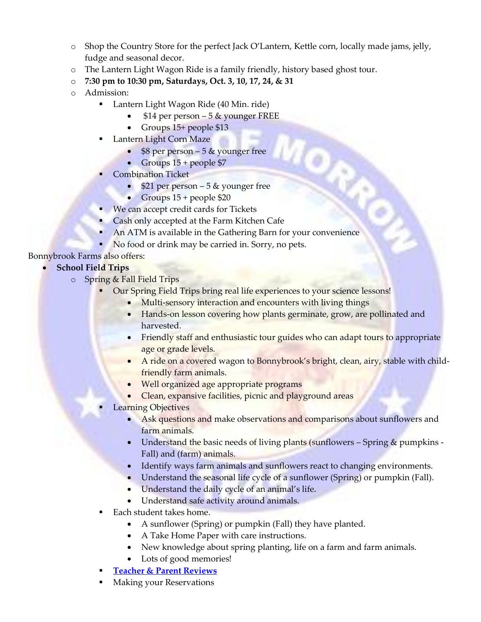- o Shop the Country Store for the perfect Jack O'Lantern, Kettle corn, locally made jams, jelly, fudge and seasonal decor.
- o The Lantern Light Wagon Ride is a family friendly, history based ghost tour.
- o **7:30 pm to 10:30 pm, Saturdays, Oct. 3, 10, 17, 24, & 31**
- o Admission:
	- **Lantern Light Wagon Ride (40 Min. ride)** 
		- \$14 per person 5 & younger FREE
		- Groups  $15+$  people \$13
	- Lantern Light Corn Maze
		- $$8$  per person 5  $\&$  younger free
		- Groups  $15 +$  people \$7
	- Combination Ticket
		- $\bullet$  \$21 per person 5 & younger free
		- Groups  $15 +$  people \$20
	- **We can accept credit cards for Tickets**
	- Cash only accepted at the Farm Kitchen Cafe
	- **An ATM** is available in the Gathering Barn for your convenience
	- No food or drink may be carried in. Sorry, no pets.

Bonnybrook Farms also offers:

# **School Field Trips**

- o Spring & Fall Field Trips
	- Our Spring Field Trips bring real life experiences to your science lessons!
		- Multi-sensory interaction and encounters with living things
		- Hands-on lesson covering how plants germinate, grow, are pollinated and harvested.
		- Friendly staff and enthusiastic tour guides who can adapt tours to appropriate age or grade levels.
		- A ride on a covered wagon to Bonnybrook's bright, clean, airy, stable with childfriendly farm animals.

 $\mathbf{Q}_k$ 

- Well organized age appropriate programs
- Clean, expansive facilities, picnic and playground areas
- Learning Objectives
	- Ask questions and make observations and comparisons about sunflowers and farm animals.
	- Understand the basic needs of living plants (sunflowers Spring & pumpkins -Fall) and (farm) animals.
	- Identify ways farm animals and sunflowers react to changing environments.
	- Understand the seasonal life cycle of a sunflower (Spring) or pumpkin (Fall).
	- Understand the daily cycle of an animal's life.
	- Understand safe activity around animals.
- Each student takes home.
	- A sunflower (Spring) or pumpkin (Fall) they have planted.
	- A Take Home Paper with care instructions.
	- New knowledge about spring planting, life on a farm and farm animals.
	- Lots of good memories!
- **[Teacher & Parent Reviews](http://bonnybrookfarms.com/schoolfieldtrips/field-trip-reviews/)**
- Making your Reservations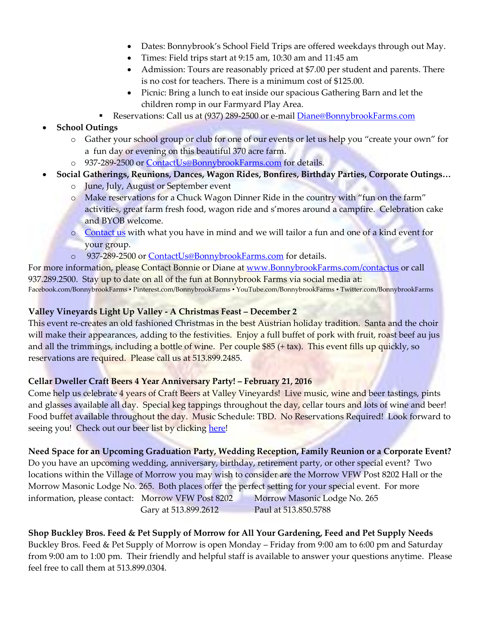- Dates: Bonnybrook's School Field Trips are offered weekdays through out May.
- Times: Field trips start at 9:15 am, 10:30 am and 11:45 am
- Admission: Tours are reasonably priced at \$7.00 per student and parents. There is no cost for teachers. There is a minimum cost of \$125.00.
- Picnic: Bring a lunch to eat inside our spacious Gathering Barn and let the children romp in our Farmyard Play Area.
- Reservations: Call us at (937) 289-2500 or e-mail [Diane@BonnybrookFarms.com](mailto:Diane@BonnybrookFarms.com)
- **School Outings**
	- o Gather your school group or club for one of our events or let us help you "create your own" for a fun day or evening on this beautiful 370 acre farm.
	- o 937-289-2500 or [ContactUs@BonnybrookFarms.com](http://bonnybrookfarms.com/?page_id=34) for details.
- **Social Gatherings, Reunions, Dances, Wagon Rides, Bonfires, Birthday Parties, Corporate Outings…**
	- o June, July, August or September event
	- o Make reservations for a Chuck Wagon Dinner Ride in the country with "fun on the farm" activities, great farm fresh food, wagon ride and s'mores around a campfire. Celebration cake and BYOB welcome.
	- o [Contact](http://bonnybrookfarms.com/contact-us/) us with what you have in mind and we will tailor a fun and one of a kind event for your group.
	- o 937-289-2500 or [ContactUs@BonnybrookFarms.com](http://bonnybrookfarms.com/?page_id=34) for details.

For more information, please Contact Bonnie or Diane at [www.BonnybrookFarms.com/contactus](http://www.bonnybrookfarms.com/contactus) or call 937.289.2500. Stay up to date on all of the fun at Bonnybrook Farms via social media at: Facebook.com/BonnybrookFarms ▪ Pinterest.com/BonnybrookFarms ▪ YouTube.com/BonnybrookFarms ▪ Twitter.com/BonnybrookFarms

## **Valley Vineyards Light Up Valley - A Christmas Feast – December 2**

This event re-creates an old fashioned Christmas in the best Austrian holiday tradition. Santa and the choir will make their appearances, adding to the festivities. Enjoy a full buffet of pork with fruit, roast beef au jus and all the trimmings, including a bottle of wine. Per couple \$85 (+ tax). This event fills up quickly, so reservations are required. Please call us at 513.899.2485.

## **Cellar Dweller Craft Beers 4 Year Anniversary Party! – February 21, 2016**

Come help us celebrate 4 years of Craft Beers at Valley Vineyards! Live music, wine and beer tastings, pints and glasses available all day. Special keg tappings throughout the day, cellar tours and lots of wine and beer! Food buffet available throughout the day. Music Schedule: TBD. No Reservations Required! Look forward to seeing you! Check out our beer list by clickin[g here!](http://www.valleyvineyards.com/cellardwellerbeers.html)

## **Need Space for an Upcoming Graduation Party, Wedding Reception, Family Reunion or a Corporate Event?**

Do you have an upcoming wedding, anniversary, birthday, retirement party, or other special event? Two locations within the Village of Morrow you may wish to consider are the Morrow VFW Post 8202 Hall or the Morrow Masonic Lodge No. 265. Both places offer the perfect setting for your special event. For more information, please contact: Morrow VFW Post 8202 Morrow Masonic Lodge No. 265 Gary at 513.899.2612 Paul at 513.850.5788

**Shop Buckley Bros. Feed & Pet Supply of Morrow for All Your Gardening, Feed and Pet Supply Needs** Buckley Bros. Feed & Pet Supply of Morrow is open Monday – Friday from 9:00 am to 6:00 pm and Saturday from 9:00 am to 1:00 pm. Their friendly and helpful staff is available to answer your questions anytime. Please feel free to call them at 513.899.0304.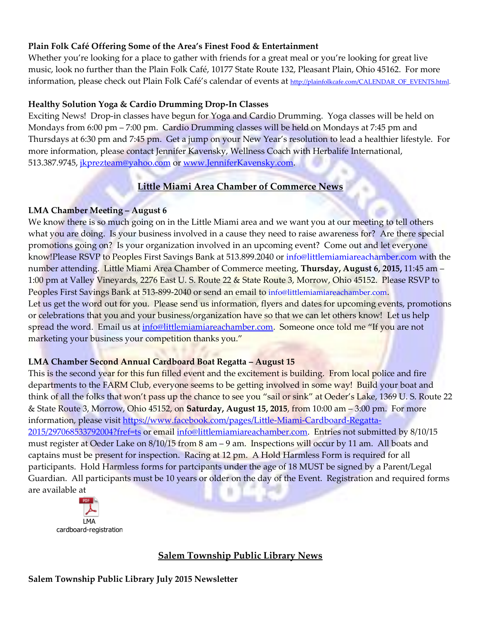## **Plain Folk Café Offering Some of the Area's Finest Food & Entertainment**

Whether you're looking for a place to gather with friends for a great meal or you're looking for great live music, look no further than the Plain Folk Café, 10177 State Route 132, Pleasant Plain, Ohio 45162. For more information, please check out Plain Folk Café's calendar of events at [http://plainfolkcafe.com/CALENDAR\\_OF\\_EVENTS.html.](http://plainfolkcafe.com/CALENDAR_OF_EVENTS.html)

#### **Healthy Solution Yoga & Cardio Drumming Drop-In Classes**

Exciting News! Drop-in classes have begun for Yoga and Cardio Drumming. Yoga classes will be held on Mondays from 6:00 pm – 7:00 pm. Cardio Drumming classes will be held on Mondays at 7:45 pm and Thursdays at 6:30 pm and 7:45 pm. Get a jump on your New Year's resolution to lead a healthier lifestyle. For more information, please contact Jennifer Kavensky, Wellness Coach with Herbalife International, 513.387.9745, [jkprezteam@yahoo.com](mailto:jkprezteam@yahoo.com) or [www.JenniferKavensky.com.](http://www.jenniferkavensky.com/)

# **Little Miami Area Chamber of Commerce News**

## **LMA Chamber Meeting – August 6**

We know there is so much going on in the Little Miami area and we want you at our meeting to tell others what you are doing. Is your business involved in a cause they need to raise awareness for? Are there special promotions going on? Is your organization involved in an upcoming event? Come out and let everyone know!Please RSVP to Peoples First Savings Bank at 513.899.2040 or [info@littlemiamiareachamber.com](mailto:info@littlemiamiareachamber.com) with the number attending. Little Miami Area Chamber of Commerce meeting, **Thursday, August 6, 2015,** 11:45 am – 1:00 pm at Valley Vineyards, 2276 East U. S. Route 22 & State Route 3, Morrow, Ohio 45152. Please RSVP to Peoples First Savings Bank at 513-899-2040 or send an email to [info@littlemiamiareachamber.com](mailto:info@littlemiamiareachamber.com). Let us get the word out for you. Please send us information, flyers and dates for upcoming events, promotions or celebrations that you and your business/organization have so that we can let others know! Let us help spread the word. Email us at [info@littlemiamiareachamber.com.](mailto:info@littlemiamiareachamber.com) Someone once told me "If you are not marketing your business your competition thanks you."

## **LMA Chamber Second Annual Cardboard Boat Regatta – August 15**

This is the second year for this fun filled event and the excitement is building. From local police and fire departments to the FARM Club, everyone seems to be getting involved in some way! Build your boat and think of all the folks that won't pass up the chance to see you "sail or sink" at Oeder's Lake, 1369 U.S. Route 22 & State Route 3, Morrow, Ohio 45152, on **Saturday, August 15, 2015**, from 10:00 am – 3:00 pm. For more information, please visit [https://www.facebook.com/pages/Little-Miami-Cardboard-Regatta-](https://www.facebook.com/pages/Little-Miami-Cardboard-Regatta-2015/297068533792004?fref=ts)[2015/297068533792004?fref=ts](https://www.facebook.com/pages/Little-Miami-Cardboard-Regatta-2015/297068533792004?fref=ts) or email [info@littlemiamiareachamber.com.](mailto:info@littlemiamiareachamber.com) Entries not submitted by 8/10/15 must register at Oeder Lake on 8/10/15 from 8 am – 9 am. Inspections will occur by 11 am. All boats and captains must be present for inspection. Racing at 12 pm. A Hold Harmless Form is required for all participants. Hold Harmless forms for partcipants under the age of 18 MUST be signed by a Parent/Legal Guardian. All participants must be 10 years or older on the day of the Event. Registration and required forms are available at



# **Salem Township Public Library News**

#### **Salem Township Public Library July 2015 Newsletter**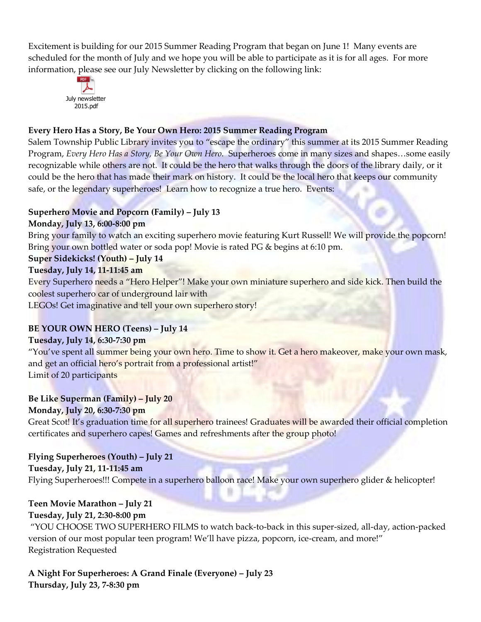Excitement is building for our 2015 Summer Reading Program that began on June 1! Many events are scheduled for the month of July and we hope you will be able to participate as it is for all ages. For more information, please see our July Newsletter by clicking on the following link:



## **Every Hero Has a Story, Be Your Own Hero: 2015 Summer Reading Program**

Salem Township Public Library invites you to "escape the ordinary" this summer at its 2015 Summer Reading Program, *Every Hero Has a Story, Be Your Own Hero.* Superheroes come in many sizes and shapes…some easily recognizable while others are not. It could be the hero that walks through the doors of the library daily, or it could be the hero that has made their mark on history. It could be the local hero that keeps our community safe, or the legendary superheroes! Learn how to recognize a true hero. Events:

## **Superhero Movie and Popcorn (Family) – July 13**

# **Monday, July 13, 6:00-8:00 pm**

Bring your family to watch an exciting superhero movie featuring Kurt Russell! We will provide the popcorn! Bring your own bottled water or soda pop! Movie is rated PG & begins at 6:10 pm.

## **Super Sidekicks! (Youth) – July 14**

#### **Tuesday, July 14, 11-11:45 am**

Every Superhero needs a "Hero Helper"! Make your own miniature superhero and side kick. Then build the coolest superhero car of underground lair with

LEGOs! Get imaginative and tell your own superhero story!

# **BE YOUR OWN HERO (Teens) – July 14**

## **Tuesday, July 14, 6:30-7:30 pm**

"You've spent all summer being your own hero. Time to show it. Get a hero makeover, make your own mask, and get an official hero's portrait from a professional artist!" Limit of 20 participants

# **Be Like Superman (Family) – July 20**

## **Monday, July 20, 6:30-7:30 pm**

Great Scot! It's graduation time for all superhero trainees! Graduates will be awarded their official completion certificates and superhero capes! Games and refreshments after the group photo!

# **Flying Superheroes (Youth) – July 21**

#### **Tuesday, July 21, 11-11:45 am**

Flying Superheroes!!! Compete in a superhero balloon race! Make your own superhero glider & helicopter!

# **Teen Movie Marathon – July 21**

# **Tuesday, July 21, 2:30-8:00 pm**

"YOU CHOOSE TWO SUPERHERO FILMS to watch back-to-back in this super-sized, all-day, action-packed version of our most popular teen program! We'll have pizza, popcorn, ice-cream, and more!" Registration Requested

**A Night For Superheroes: A Grand Finale (Everyone) – July 23 Thursday, July 23, 7-8:30 pm**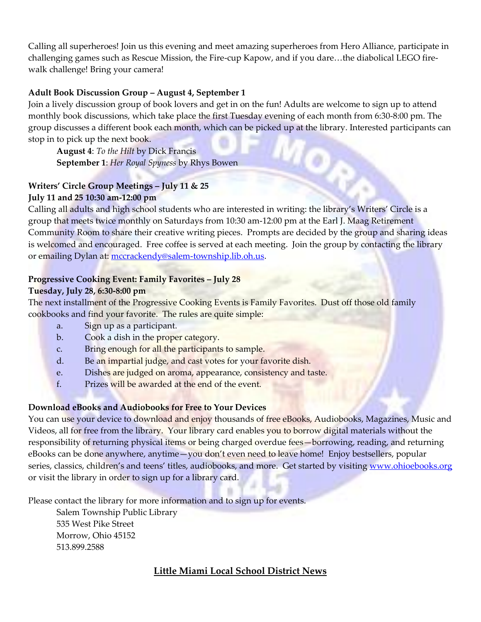Calling all superheroes! Join us this evening and meet amazing superheroes from Hero Alliance, participate in challenging games such as Rescue Mission, the Fire-cup Kapow, and if you dare…the diabolical LEGO firewalk challenge! Bring your camera!

#### **Adult Book Discussion Group – August 4, September 1**

Join a lively discussion group of book lovers and get in on the fun! Adults are welcome to sign up to attend monthly book discussions, which take place the first Tuesday evening of each month from 6:30-8:00 pm. The group discusses a different book each month, which can be picked up at the library. Interested participants can stop in to pick up the next book.

**August 4**: *To the Hilt* by Dick Francis **September 1**: *Her Royal Spyness* by Rhys Bowen

# **Writers' Circle Group Meetings – July 11 & 25 July 11 and 25 10:30 am-12:00 pm**

Calling all adults and high school students who are interested in writing: the library's Writers' Circle is a group that meets twice monthly on Saturdays from 10:30 am-12:00 pm at the Earl J. Maag Retirement Community Room to share their creative writing pieces. Prompts are decided by the group and sharing ideas is welcomed and encouraged. Free coffee is served at each meeting. Join the group by contacting the library or emailing Dylan at: [mccrackendy@salem-township.lib.oh.us.](mailto:mccrackendy@salem-township.lib.oh.us)

#### **Progressive Cooking Event: Family Favorites – July 28**

#### **Tuesday, July 28, 6:30-8:00 pm**

The next installment of the Progressive Cooking Events is Family Favorites. Dust off those old family cookbooks and find your favorite. The rules are quite simple:

- a. Sign up as a participant.
- b. Cook a dish in the proper category.
- c. Bring enough for all the participants to sample.
- d. Be an impartial judge, and cast votes for your favorite dish.
- e. Dishes are judged on aroma, appearance, consistency and taste.
- f. Prizes will be awarded at the end of the event.

#### **Download eBooks and Audiobooks for Free to Your Devices**

You can use your device to download and enjoy thousands of free eBooks, Audiobooks, Magazines, Music and Videos, all for free from the library. Your library card enables you to borrow digital materials without the responsibility of returning physical items or being charged overdue fees—borrowing, reading, and returning eBooks can be done anywhere, anytime—you don't even need to leave home! Enjoy bestsellers, popular series, classics, children's and teens' titles, audiobooks, and more. Get started by visiting [www.ohioebooks.org](http://www.ohioebooks.org/) or visit the library in order to sign up for a library card.

Please contact the library for more information and to sign up for events.

Salem Township Public Library 535 West Pike Street Morrow, Ohio 45152 513.899.2588

## **Little Miami Local School District News**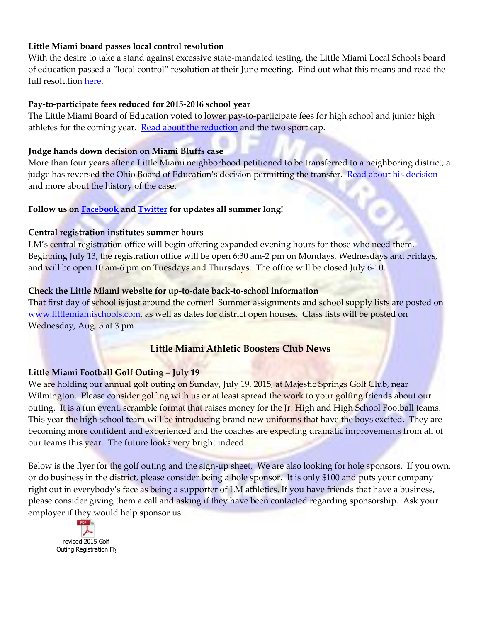#### **Little Miami board passes local control resolution**

With the desire to take a stand against excessive state-mandated testing, the Little Miami Local Schools board of education passed a "local control" resolution at their June meeting. Find out what this means and read the full resolution [here.](http://www.littlemiamischools.com/district-news/entry/board-passes-local-control-resolution-131/)

#### **Pay-to-participate fees reduced for 2015-2016 school year**

The Little Miami Board of Education voted to lower pay-to-participate fees for high school and junior high athletes for the coming year. [Read about the reduction](http://www.littlemiamischools.com/district-news/entry/lm-board-reduces-fees-for-panther-athletes-129/) and the two sport cap.

## **Judge hands down decision on Miami Bluffs case**

More than four years after a Little Miami neighborhood petitioned to be transferred to a neighboring district, a judge has reversed the Ohio Board of Education's decision permitting the transfer. [Read about his decision](http://www.littlemiamischools.com/district-news/entry/judge-hands-down-decision-on-miami-bluffs-case-128/) and more about the history of the case.

#### **Follow us on [Facebook](https://www.facebook.com/pages/Little-Miami-Local-Schools/407758952573852) and [Twitter](https://twitter.com/LM_Schools) for updates all summer long!**

#### **Central registration institutes summer hours**

LM's central registration office will begin offering expanded evening hours for those who need them. Beginning July 13, the registration office will be open 6:30 am-2 pm on Mondays, Wednesdays and Fridays, and will be open 10 am-6 pm on Tuesdays and Thursdays. The office will be closed July 6-10.

#### **Check the Little Miami website for up-to-date back-to-school information**

That first day of school is just around the corner! Summer assignments and school supply lists are posted on [www.littlemiamischools.com,](http://www.littlemiamischools.com/) as well as dates for district open houses. Class lists will be posted on Wednesday, Aug. 5 at 3 pm.

## **Little Miami Athletic Boosters Club News**

## **Little Miami Football Golf Outing – July 19**

We are holding our annual golf outing on Sunday, July 19, 2015, at Majestic Springs Golf Club, near Wilmington. Please consider golfing with us or at least spread the work to your golfing friends about our outing. It is a fun event, scramble format that raises money for the Jr. High and High School Football teams. This year the high school team will be introducing brand new uniforms that have the boys excited. They are becoming more confident and experienced and the coaches are expecting dramatic improvements from all of our teams this year. The future looks very bright indeed.

Below is the flyer for the golf outing and the sign-up sheet. We are also looking for hole sponsors. If you own, or do business in the district, please consider being a hole sponsor. It is only \$100 and puts your company right out in everybody's face as being a supporter of LM athletics. If you have friends that have a business, please consider giving them a call and asking if they have been contacted regarding sponsorship. Ask your employer if they would help sponsor us.

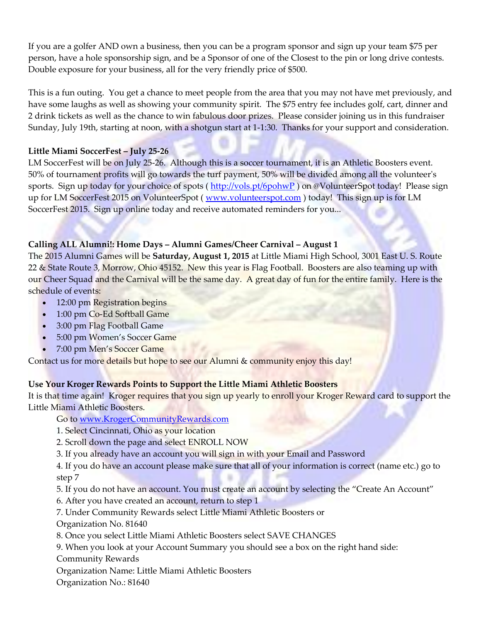If you are a golfer AND own a business, then you can be a program sponsor and sign up your team \$75 per person, have a hole sponsorship sign, and be a Sponsor of one of the Closest to the pin or long drive contests. Double exposure for your business, all for the very friendly price of \$500.

This is a fun outing. You get a chance to meet people from the area that you may not have met previously, and have some laughs as well as showing your community spirit. The \$75 entry fee includes golf, cart, dinner and 2 drink tickets as well as the chance to win fabulous door prizes. Please consider joining us in this fundraiser Sunday, July 19th, starting at noon, with a shotgun start at 1-1:30. Thanks for your support and consideration.

## **Little Miami SoccerFest – July 25-26**

LM SoccerFest will be on July 25-26. Although this is a soccer tournament, it is an Athletic Boosters event. 50% of tournament profits will go towards the turf payment, 50% will be divided among all the volunteer's sports. Sign up today for your choice of spots (<http://vols.pt/6pohwP>) on @VolunteerSpot today! Please sign up for LM SoccerFest 2015 on VolunteerSpot (*www.volunteerspot.com*) today! This sign up is for LM SoccerFest 2015. Sign up online today and receive automated reminders for you...

# **Calling ALL Alumni!: Home Days – Alumni Games/Cheer Carnival – August 1**

The 2015 Alumni Games will be **Saturday, August 1, 2015** at Little Miami High School, 3001 East U. S. Route 22 & State Route 3, Morrow, Ohio 45152. New this year is Flag Football. Boosters are also teaming up with our Cheer Squad and the Carnival will be the same day. A great day of fun for the entire family. Here is the schedule of events:

- 12:00 pm Registration begins
- 1:00 pm Co-Ed Softball Game
- 3:00 pm Flag Football Game
- 5:00 pm Women's Soccer Game
- 7:00 pm Men's Soccer Game

Contact us for more details but hope to see our Alumni & community enjoy this day!

## **Use Your Kroger Rewards Points to Support the Little Miami Athletic Boosters**

It is that time again! Kroger requires that you sign up yearly to enroll your Kroger Reward card to support the Little Miami Athletic Boosters.

Go to [www.KrogerCommunityRewards.com](http://www.facebook.com/l/-AQFyfw2M/www.KrogerCommunityRewards.com)

- 1. Select Cincinnati, Ohio as your location
- 2. Scroll down the page and select ENROLL NOW
- 3. If you already have an account you will sign in with your Email and Password

4. If you do have an account please make sure that all of your information is correct (name etc.) go to step 7

5. If you do not have an account. You must create an account by selecting the "Create An Account"

- 6. After you have created an account, return to step 1
- 7. Under Community Rewards select Little Miami Athletic Boosters or

Organization No. 81640

- 8. Once you select Little Miami Athletic Boosters select SAVE CHANGES
- 9. When you look at your Account Summary you should see a box on the right hand side:

Community Rewards

Organization Name: Little Miami Athletic Boosters

Organization No.: 81640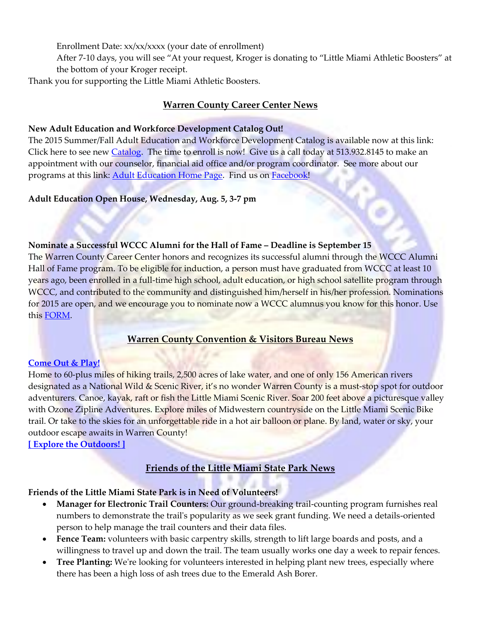Enrollment Date: xx/xx/xxxx (your date of enrollment)

After 7-10 days, you will see "At your request, Kroger is donating to "Little Miami Athletic Boosters" at the bottom of your Kroger receipt.

Thank you for supporting the Little Miami Athletic Boosters.

#### **Warren County Career Center News**

#### **New Adult Education and Workforce Development Catalog Out!**

The 2015 Summer/Fall Adult Education and Workforce Development Catalog is available now at this link: Click here to see new [Catalog.](http://r20.rs6.net/tn.jsp?f=001ZplExQjOnuPV5cdfzyfCSs0S5ePuwdMRpLNXv_fiAk2RwRq7UAJb1aoZoK_TDLhfip2IxOp7Zwv_QaRqY4vz8iJZZ0xEtQGYRVyGeYA2UwIx4PgXNgJMQ_NZTdKqVhdlUfe73gcm-focrF_pWU1Ntv49hPYcAxT7i4MyXhksjCvnlOxrpBkec9HtmljqrWNXbhmkH63_C4Y=&c=Sok-bLlSYuKqJdvst8S6B-OGvfwAKnpIhTATpLi-WMI3VgJUf0Prtg==&ch=C6B5T9YJuIciSl-ENS7rzvZZCwQYt9AALyxl6VkxxknGBH8a8c2FeA==) The time to enroll is now! Give us a call today at 513.932.8145 to make an appointment with our counselor, financial aid office and/or program coordinator. See more about our programs at this link: **Adult Education Home Page**. Find us on **Facebook!** 

**Adult Education Open House, Wednesday, Aug. 5, 3-7 pm**

#### **Nominate a Successful WCCC Alumni for the Hall of Fame – Deadline is September 15**

The Warren County Career Center honors and recognizes its successful alumni through the WCCC Alumni Hall of Fame program. To be eligible for induction, a person must have graduated from WCCC at least 10 years ago, been enrolled in a full-time high school, adult education, or high school satellite program through WCCC, and contributed to the community and distinguished him/herself in his/her profession. Nominations for 2015 are open, and we encourage you to nominate now a WCCC alumnus you know for this honor. Use this [FORM.](http://r20.rs6.net/tn.jsp?f=001Fx-0BMTapJHvoEe9AbDhCmo2Na_b7HtvAu1mfiVurLWjAIavkFOtrJgRMHItY7mxBRBiWZDEZjK7HPbGznwCeGcx89VorFpHNqyEjEVQY8BpNWnO72GW4vVkF5luZ37Ly1WHmR2tYyYUsLHWNTCSDwzC_pw5khU-n93Y9KO95SDfUlSmuaQM6hWrkvI_c9IAm0syFIZcMRzFLPPCRobYbGCx4CILRwQaQp_oFLhkPI3WxQtJPAKj7zAC0WqODBMv9qQbFOQKya1HCWQku-fZddfHXxKj6LMuH_qeDgGikp8=&c=6SBh6KpWOWqpD_ruvVf2o5fWjV-stcz37TClxyNWo1zGqfw9KF5A4Q==&ch=5S8iXdQz8_2Lr0pTCYxdN0BbA9Q2qyADHU9yJ4OUDknRGB1N7hR4IA==)

# **Warren County Convention & Visitors Bureau News**

#### **[Come Out & Play!](http://wccvb.informz.net/z/cjUucD9taT00MzU3MzMyJnA9MSZ1PTgyMDE4MjA4NSZsaT0yNzUyNDczOQ/index.html)**

Home to 60-plus miles of hiking trails, 2,500 acres of lake water, and one of only 156 American rivers designated as a National Wild & Scenic River, it's no wonder Warren County is a must-stop spot for outdoor adventurers. Canoe, kayak, raft or fish the Little Miami Scenic River. Soar 200 feet above a picturesque valley with Ozone Zipline Adventures. Explore miles of Midwestern countryside on the Little Miami Scenic Bike trail. Or take to the skies for an unforgettable ride in a hot air balloon or plane. By land, water or sky, your outdoor escape awaits in Warren County!

**[\[ Explore the Outdoors! \]](http://wccvb.informz.net/z/cjUucD9taT00MzU3MzMyJnA9MSZ1PTgyMDE4MjA4NSZsaT0yNzUyNDc0MQ/index.html)**

# **Friends of the Little Miami State Park News**

## **Friends of the Little Miami State Park is in Need of Volunteers!**

- **Manager for Electronic Trail Counters:** Our ground-breaking trail-counting program furnishes real numbers to demonstrate the trail's popularity as we seek grant funding. We need a details-oriented person to help manage the trail counters and their data files.
- **Fence Team:** volunteers with basic carpentry skills, strength to lift large boards and posts, and a willingness to travel up and down the trail. The team usually works one day a week to repair fences.
- **Tree Planting:** We're looking for volunteers interested in helping plant new trees, especially where there has been a high loss of ash trees due to the Emerald Ash Borer.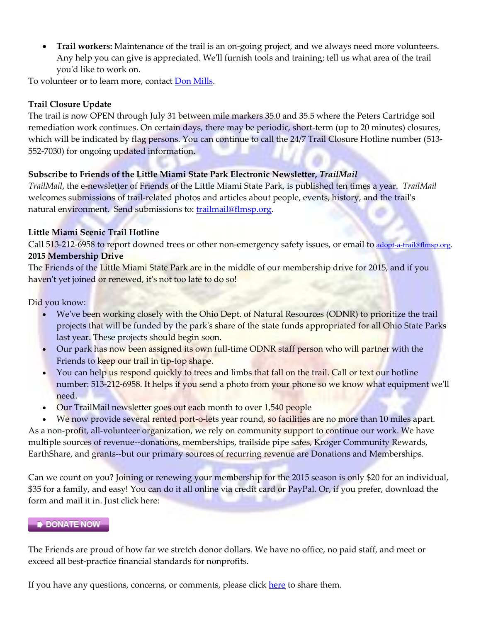**Trail workers:** Maintenance of the trail is an on-going project, and we always need more volunteers. Any help you can give is appreciated. We'll furnish tools and training; tell us what area of the trail you'd like to work on.

To volunteer or to learn more, contact **Don Mills**.

## **Trail Closure Update**

The trail is now OPEN through July 31 between mile markers 35.0 and 35.5 where the Peters Cartridge soil remediation work continues. On certain days, there may be periodic, short-term (up to 20 minutes) closures, which will be indicated by flag persons. You can continue to call the 24/7 Trail Closure Hotline number (513-552-7030) for ongoing updated information.

## **Subscribe to Friends of the Little Miami State Park Electronic Newsletter,** *TrailMail*

*TrailMail*, the e-newsletter of Friends of the Little Miami State Park, is published ten times a year. *TrailMail* welcomes submissions of trail-related photos and articles about people, events, history, and the trail's natural environment. Send submissions to: [trailmail@flmsp.org.](mailto:trailmail@flmsp.org)

## **Little Miami Scenic Trail Hotline**

Call 513-212-6958 to report downed trees or other non-emergency safety issues, or email to [adopt-a-trail@flmsp.org.](mailto:adopt-a-trail@flmsp.org) **2015 Membership Drive**

The Friends of the Little Miami State Park are in the middle of our membership drive for 2015, and if you haven't yet joined or renewed, it's not too late to do so!

Did you know:

- We've been working closely with the Ohio Dept. of Natural Resources (ODNR) to prioritize the trail projects that will be funded by the park's share of the state funds appropriated for all Ohio State Parks last year. These projects should begin soon.
- Our park has now been assigned its own full-time ODNR staff person who will partner with the Friends to keep our trail in tip-top shape.
- You can help us respond quickly to trees and limbs that fall on the trail. Call or text our hotline number: 513-212-6958. It helps if you send a photo from your phone so we know what equipment we'll need.
- Our TrailMail newsletter goes out each month to over 1,540 people

We now provide several rented port-o-lets year round, so facilities are no more than 10 miles apart. As a non-profit, all-volunteer organization, we rely on community support to continue our work. We have multiple sources of revenue--donations, memberships, trailside pipe safes, Kroger Community Rewards, EarthShare, and grants--but our primary sources of recurring revenue are Donations and Memberships.

Can we count on you? Joining or renewing your membership for the 2015 season is only \$20 for an individual, \$35 for a family, and easy! You can do it all online via credit card or PayPal. Or, if you prefer, download the form and mail it in. Just click here:

## **DONATE NOW**

The Friends are proud of how far we stretch donor dollars. We have no office, no paid staff, and meet or exceed all best-practice financial standards for nonprofits.

If you have any questions, concerns, or comments, please click [here](http://r20.rs6.net/tn.jsp?f=001cfX3ILHcVmWOFZlbj-cRWU3dcFGmSrHaTXUKqR7h5z9Lt4RX6-TPMEyi2b5mgeNkKt8KznRhmgcyFLiYAnJDiUvtplsP626g1umh3_M8KuljYgCoaUdkBRxPqfdUdkOrForv7DTa7SQzuJD2pHpfRzHj0qzYgZQiD4KmwgrztPM6fOh7TZmEtbziUZKeoZ0ZylHL4LkPxGJyxVBFrZrdgg==&c=BaNM35gW34Th93mccg48yVcZJAHOv1c-1Gl0bswJoSzDK563nSTeZA==&ch=v6kGJHSLL2W4ozSIbGcdU74HeifVBsFBp2C8otNlamMKcXyBsnH0QA==) to share them.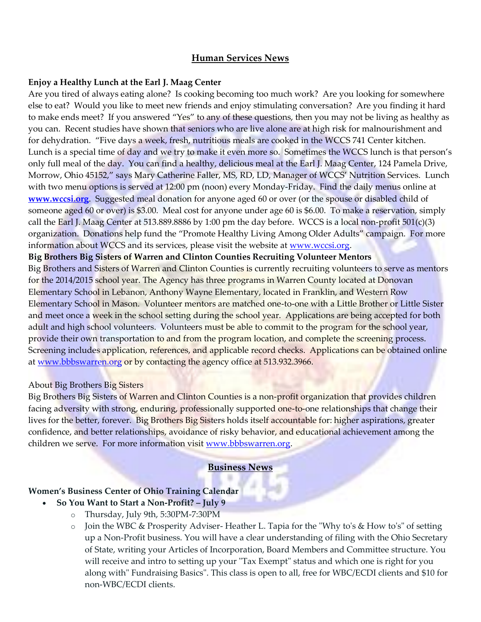# **Human Services News**

#### **Enjoy a Healthy Lunch at the Earl J. Maag Center**

Are you tired of always eating alone? Is cooking becoming too much work? Are you looking for somewhere else to eat? Would you like to meet new friends and enjoy stimulating conversation? Are you finding it hard to make ends meet? If you answered "Yes" to any of these questions, then you may not be living as healthy as you can. Recent studies have shown that seniors who are live alone are at high risk for malnourishment and for dehydration. "Five days a week, fresh, nutritious meals are cooked in the WCCS 741 Center kitchen. Lunch is a special time of day and we try to make it even more so. Sometimes the WCCS lunch is that person's only full meal of the day. You can find a healthy, delicious meal at the Earl J. Maag Center, 124 Pamela Drive, Morrow, Ohio 45152," says Mary Catherine Faller, MS, RD, LD, Manager of WCCS' Nutrition Services. Lunch with two menu options is served at 12:00 pm (noon) every Monday-Friday. Find the daily menus online at **[www.wccsi.org](http://www.wccsi.org/)**. Suggested meal donation for anyone aged 60 or over (or the spouse or disabled child of someone aged 60 or over) is \$3.00. Meal cost for anyone under age 60 is \$6.00. To make a reservation, simply call the Earl J. Maag Center at 513.889.8886 by 1:00 pm the day before. WCCS is a local non-profit  $501(c)(3)$ organization. Donations help fund the "Promote Healthy Living Among Older Adults" campaign. For more information about WCCS and its services, please visit the website at [www.wccsi.org.](http://www.wccsi.org/)

#### **Big Brothers Big Sisters of Warren and Clinton Counties Recruiting Volunteer Mentors**

Big Brothers and Sisters of Warren and Clinton Counties is currently recruiting volunteers to serve as mentors for the 2014/2015 school year. The Agency has three programs in Warren County located at Donovan Elementary School in Lebanon, Anthony Wayne Elementary, located in Franklin, and Western Row Elementary School in Mason. Volunteer mentors are matched one-to-one with a Little Brother or Little Sister and meet once a week in the school setting during the school year. Applications are being accepted for both adult and high school volunteers. Volunteers must be able to commit to the program for the school year, provide their own transportation to and from the program location, and complete the screening process. Screening includes application, references, and applicable record checks. Applications can be obtained online at [www.bbbswarren.org](http://www.bbbswarren.org/) or by contacting the agency office at 513.932.3966.

#### About Big Brothers Big Sisters

Big Brothers Big Sisters of Warren and Clinton Counties is a non-profit organization that provides children facing adversity with strong, enduring, professionally supported one-to-one relationships that change their lives for the better, forever. Big Brothers Big Sisters holds itself accountable for: higher aspirations, greater confidence, and better relationships, avoidance of risky behavior, and educational achievement among the children we serve. For more information visit [www.bbbswarren.org.](http://www.bbbswarren.org/)

#### **Business News**

#### **Women's Business Center of Ohio Training Calendar**

- **So You Want to Start a Non-Profit? – July 9**
	- o Thursday, July 9th, 5:30PM-7:30PM
	- o Join the WBC & Prosperity Adviser- Heather L. Tapia for the "Why to's & How to's" of setting up a Non-Profit business. You will have a clear understanding of filing with the Ohio Secretary of State, writing your Articles of Incorporation, Board Members and Committee structure. You will receive and intro to setting up your "Tax Exempt" status and which one is right for you along with" Fundraising Basics". This class is open to all, free for WBC/ECDI clients and \$10 for non-WBC/ECDI clients.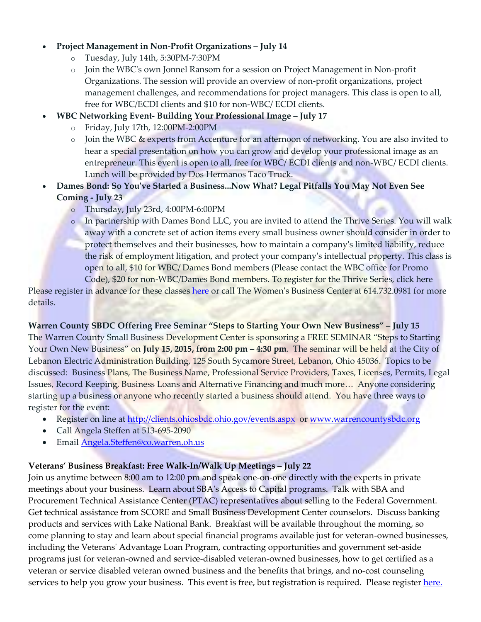#### **Project Management in Non-Profit Organizations – July 14**

- o Tuesday, July 14th, 5:30PM-7:30PM
- o Join the WBC's own Jonnel Ransom for a session on Project Management in Non-profit Organizations. The session will provide an overview of non-profit organizations, project management challenges, and recommendations for project managers. This class is open to all, free for WBC/ECDI clients and \$10 for non-WBC/ ECDI clients.
- **WBC Networking Event- Building Your Professional Image – July 17**
	- o Friday, July 17th, 12:00PM-2:00PM
	- o Join the WBC & experts from Accenture for an afternoon of networking. You are also invited to hear a special presentation on how you can grow and develop your professional image as an entrepreneur. This event is open to all, free for WBC/ ECDI clients and non-WBC/ ECDI clients. Lunch will be provided by Dos Hermanos Taco Truck.
- **Dames Bond: So You've Started a Business...Now What? Legal Pitfalls You May Not Even See Coming - July 23**
	- o Thursday, July 23rd, 4:00PM-6:00PM
	- o In partnership with Dames Bond LLC, you are invited to attend the Thrive Series. You will walk away with a concrete set of action items every small business owner should consider in order to protect themselves and their businesses, how to maintain a company's limited liability, reduce the risk of employment litigation, and protect your company's intellectual property. This class is open to all, \$10 for WBC/ Dames Bond members (Please contact the WBC office for Promo Code), \$20 for non-WBC/Dames Bond members. To register for the Thrive Series, click here

Please register in advance for these classes [here](http://r20.rs6.net/tn.jsp?f=0015WfzKNCQoylffvLTJ0o4V6iAkLFcoYKvWfLqRJPRBC_ePvrgNVTPnVia5MU3l2Gdxyb2_VWA6FvERYrTUXUlEdX2OE-FUytnHbkuJPiiAknIHT4BMbKijkIKc7BMbSFXdCF2gRuFcVg6b39uPTNlDdVieGWwpq3HJU81DHTn-64uHCCQBr0QXw==&c=YEa5qz8LShSLpJkXfcyC5rNL8z1DoZIQtj3dWrb_Pf5yYCbODNo7LQ==&ch=fdS3hitKEI3hxJcNrFZfLafQUBzPFZGJ2UCZjT3muourM0QI8NK6Ig==) or call The Women's Business Center at 614.732.0981 for more details.

**Warren County SBDC Offering Free Seminar "Steps to Starting Your Own New Business" – July 15** The Warren County Small Business Development Center is sponsoring a FREE SEMINAR "Steps to Starting Your Own New Business" on **July 15, 2015, from 2:00 pm – 4:30 pm**. The seminar will be held at the City of Lebanon Electric Administration Building, 125 South Sycamore Street, Lebanon, Ohio 45036. Topics to be discussed: Business Plans, The Business Name, Professional Service Providers, Taxes, Licenses, Permits, Legal Issues, Record Keeping, Business Loans and Alternative Financing and much more… Anyone considering starting up a business or anyone who recently started a business should attend. You have three ways to register for the event:

- Register on line at<http://clients.ohiosbdc.ohio.gov/events.aspx>or [www.warrencountysbdc.org](http://www.warrencountysbdc.org/)
- Call Angela Steffen at 513-695-2090
- Email [Angela.Steffen@co.warren.oh.us](mailto:Angela.Steffen@co.warren.oh.us)

#### **Veterans' Business Breakfast: Free Walk-In/Walk Up Meetings – July 22**

Join us anytime between 8:00 am to 12:00 pm and speak one-on-one directly with the experts in private meetings about your business. Learn about SBA's Access to Capital programs. Talk with SBA and Procurement Technical Assistance Center (PTAC) representatives about selling to the Federal Government. Get technical assistance from SCORE and Small Business Development Center counselors. Discuss banking products and services with Lake National Bank. Breakfast will be available throughout the morning, so come planning to stay and learn about special financial programs available just for veteran-owned businesses, including the Veterans' Advantage Loan Program, contracting opportunities and government set-aside programs just for veteran-owned and service-disabled veteran-owned businesses, how to get certified as a veteran or service disabled veteran owned business and the benefits that brings, and no-cost counseling services to help you grow your business. This event is free, but registration is required. Please register [here.](http://links.govdelivery.com/track?type=click&enid=ZWFzPTEmbWFpbGluZ2lkPTIwMTUwNjIyLjQ2MzE1NTgxJm1lc3NhZ2VpZD1NREItUFJELUJVTC0yMDE1MDYyMi40NjMxNTU4MSZkYXRhYmFzZWlkPTEwMDEmc2VyaWFsPTE3MDE2ODQ3JmVtYWlsaWQ9cm9kLnNtaXRoQHZpbC5tb3Jyb3cub2gudXMmdXNlcmlkPXJvZC5zbWl0aEB2aWwubW9ycm93Lm9oLnVzJmZsPSZleHRyYT1NdWx0aXZhcmlhdGVJZD0mJiY=&&&102&&&https://www.eventbrite.com/e/veterans-business-breakfast-tickets-17459749581)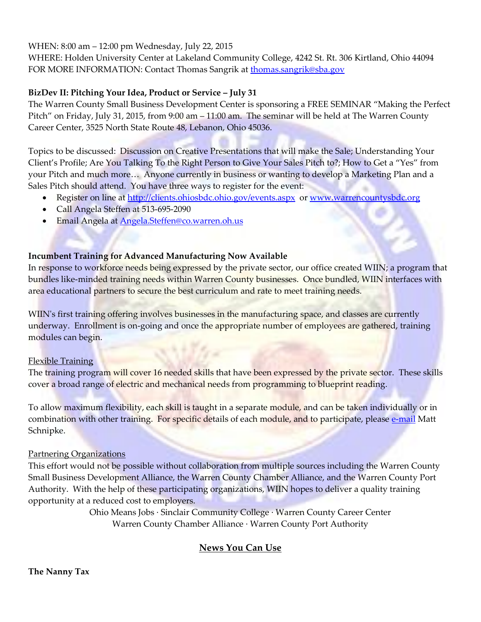WHEN: 8:00 am – 12:00 pm Wednesday, July 22, 2015

WHERE: Holden University Center at Lakeland Community College, 4242 St. Rt. 306 Kirtland, Ohio 44094 FOR MORE INFORMATION: Contact Thomas Sangrik a[t thomas.sangrik@sba.gov](mailto:thomas.sangrik@sba.gov)

# **BizDev II: Pitching Your Idea, Product or Service – July 31**

The Warren County Small Business Development Center is sponsoring a FREE SEMINAR "Making the Perfect Pitch" on Friday, July 31, 2015, from 9:00 am – 11:00 am. The seminar will be held at The Warren County Career Center, 3525 North State Route 48, Lebanon, Ohio 45036.

Topics to be discussed: Discussion on Creative Presentations that will make the Sale; Understanding Your Client's Profile; Are You Talking To the Right Person to Give Your Sales Pitch to?; How to Get a "Yes" from your Pitch and much more… Anyone currently in business or wanting to develop a Marketing Plan and a Sales Pitch should attend. You have three ways to register for the event:

- Register on line at<http://clients.ohiosbdc.ohio.gov/events.aspx>or [www.warrencountysbdc.org](http://www.warrencountysbdc.org/)
- Call Angela Steffen at 513-695-2090
- **Email Angela at [Angela.Steffen@co.warren.oh.us](mailto:Angela.Steffen@co.warren.oh.us)**

## **Incumbent Training for Advanced Manufacturing Now Available**

In response to workforce needs being expressed by the private sector, our office created WIIN; a program that bundles like-minded training needs within Warren County businesses. Once bundled, WIIN interfaces with area educational partners to secure the best curriculum and rate to meet training needs.

WIIN's first training offering involves businesses in the manufacturing space, and classes are currently underway. Enrollment is on-going and once the appropriate number of employees are gathered, training modules can begin.

## Flexible Training

The training program will cover 16 needed skills that have been expressed by the private sector. These skills cover a broad range of electric and mechanical needs from programming to blueprint reading.

To allow maximum flexibility, each skill is taught in a separate module, and can be taken individually or in combination with other training. For specific details of each module, and to participate, please [e-mail](mailto:matthew.schnipke@co.warren.oh.us) Matt Schnipke.

## Partnering Organizations

This effort would not be possible without collaboration from multiple sources including the Warren County Small Business Development Alliance, the Warren County Chamber Alliance, and the Warren County Port Authority. With the help of these participating organizations, WIIN hopes to deliver a quality training opportunity at a reduced cost to employers.

> Ohio Means Jobs ∙ Sinclair Community College ∙ Warren County Career Center Warren County Chamber Alliance ∙ Warren County Port Authority

# **News You Can Use**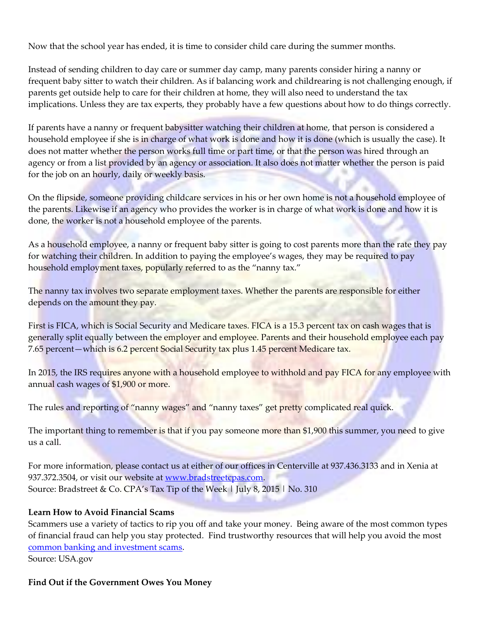Now that the school year has ended, it is time to consider child care during the summer months.

Instead of sending children to day care or summer day camp, many parents consider hiring a nanny or frequent baby sitter to watch their children. As if balancing work and childrearing is not challenging enough, if parents get outside help to care for their children at home, they will also need to understand the tax implications. Unless they are tax experts, they probably have a few questions about how to do things correctly.

If parents have a nanny or frequent babysitter watching their children at home, that person is considered a household employee if she is in charge of what work is done and how it is done (which is usually the case). It does not matter whether the person works full time or part time, or that the person was hired through an agency or from a list provided by an agency or association. It also does not matter whether the person is paid for the job on an hourly, daily or weekly basis.

On the flipside, someone providing childcare services in his or her own home is not a household employee of the parents. Likewise if an agency who provides the worker is in charge of what work is done and how it is done, the worker is not a household employee of the parents.

As a household employee, a nanny or frequent baby sitter is going to cost parents more than the rate they pay for watching their children. In addition to paying the employee's wages, they may be required to pay household employment taxes, popularly referred to as the "nanny tax."

The nanny tax involves two separate employment taxes. Whether the parents are responsible for either depends on the amount they pay.

First is FICA, which is Social Security and Medicare taxes. FICA is a 15.3 percent tax on cash wages that is generally split equally between the employer and employee. Parents and their household employee each pay 7.65 percent—which is 6.2 percent Social Security tax plus 1.45 percent Medicare tax.

In 2015, the IRS requires anyone with a household employee to withhold and pay FICA for any employee with annual cash wages of \$1,900 or more.

The rules and reporting of "nanny wages" and "nanny taxes" get pretty complicated real quick.

The important thing to remember is that if you pay someone more than \$1,900 this summer, you need to give us a call.

For more information, please contact us at either of our offices in Centerville at 937.436.3133 and in Xenia at 937.372.3504, or visit our website at [www.bradstreetcpas.com.](http://www.bradstreetcpas.com/) Source: Bradstreet & Co. CPA's Tax Tip of the Week | July 8, 2015 | No. 310

#### **Learn How to Avoid Financial Scams**

Scammers use a variety of tactics to rip you off and take your money. Being aware of the most common types of financial fraud can help you stay protected. Find trustworthy resources that will help you avoid the most [common banking and investment scams.](http://links.govdelivery.com/track?type=click&enid=ZWFzPTEmbWFpbGluZ2lkPTIwMTUwNzAyLjQ2NzE5MzIxJm1lc3NhZ2VpZD1NREItUFJELUJVTC0yMDE1MDcwMi40NjcxOTMyMSZkYXRhYmFzZWlkPTEwMDEmc2VyaWFsPTE3MDE5NTY2JmVtYWlsaWQ9cm9kLnNtaXRoQHZpbC5tb3Jyb3cub2gudXMmdXNlcmlkPXJvZC5zbWl0aEB2aWwubW9ycm93Lm9oLnVzJmZsPSZleHRyYT1NdWx0aXZhcmlhdGVJZD0mJiY=&&&100&&&https://beta.usa.gov/common-scams-frauds#item-36617)

Source: USA.gov

#### **Find Out if the Government Owes You Money**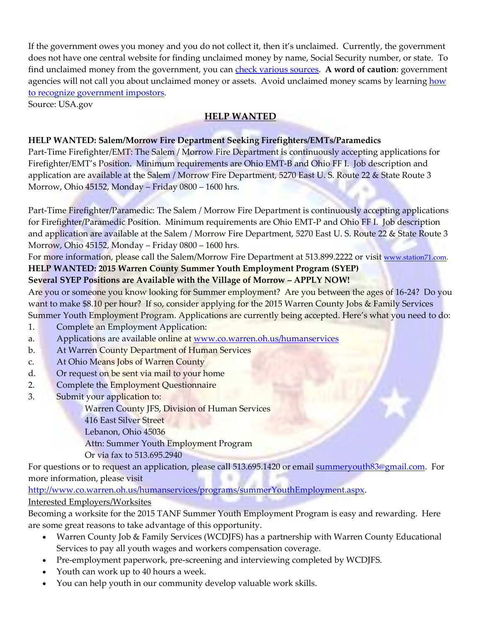If the government owes you money and you do not collect it, then it's unclaimed. Currently, the government does not have one central website for finding unclaimed money by name, Social Security number, or state. To find unclaimed money from the government, you can [check various sources.](http://links.govdelivery.com/track?type=click&enid=ZWFzPTEmbWFpbGluZ2lkPTIwMTUwNzA2LjQ2ODM1MDIxJm1lc3NhZ2VpZD1NREItUFJELUJVTC0yMDE1MDcwNi40NjgzNTAyMSZkYXRhYmFzZWlkPTEwMDEmc2VyaWFsPTE3MDIwMjIyJmVtYWlsaWQ9cm9kLnNtaXRoQHZpbC5tb3Jyb3cub2gudXMmdXNlcmlkPXJvZC5zbWl0aEB2aWwubW9ycm93Lm9oLnVzJmZsPSZleHRyYT1NdWx0aXZhcmlhdGVJZD0mJiY=&&&100&&&https://www.usa.gov/unclaimed-money#item-37222) **A word of caution**: government agencies will not call you about unclaimed money or assets. Avoid unclaimed money scams by learning how [to recognize government impostors.](http://links.govdelivery.com/track?type=click&enid=ZWFzPTEmbWFpbGluZ2lkPTIwMTUwNzA2LjQ2ODM1MDIxJm1lc3NhZ2VpZD1NREItUFJELUJVTC0yMDE1MDcwNi40NjgzNTAyMSZkYXRhYmFzZWlkPTEwMDEmc2VyaWFsPTE3MDIwMjIyJmVtYWlsaWQ9cm9kLnNtaXRoQHZpbC5tb3Jyb3cub2gudXMmdXNlcmlkPXJvZC5zbWl0aEB2aWwubW9ycm93Lm9oLnVzJmZsPSZleHRyYT1NdWx0aXZhcmlhdGVJZD0mJiY=&&&101&&&http://www.consumer.ftc.gov/articles/0048-government-imposter-scams)

Source: USA.gov

# **HELP WANTED**

# **HELP WANTED: Salem/Morrow Fire Department Seeking Firefighters/EMTs/Paramedics**

Part-Time Firefighter/EMT: The Salem / Morrow Fire Department is continuously accepting applications for Firefighter/EMT's Position. Minimum requirements are Ohio EMT-B and Ohio FF I. Job description and application are available at the Salem / Morrow Fire Department, 5270 East U. S. Route 22 & State Route 3 Morrow, Ohio 45152, Monday – Friday 0800 – 1600 hrs.

Part-Time Firefighter/Paramedic: The Salem / Morrow Fire Department is continuously accepting applications for Firefighter/Paramedic Position. Minimum requirements are Ohio EMT-P and Ohio FF I. Job description and application are available at the Salem / Morrow Fire Department, 5270 East U. S. Route 22 & State Route 3 Morrow, Ohio 45152, Monday – Friday 0800 – 1600 hrs.

For more information, please call the Salem/Morrow Fire Department at 513.899.2222 or visit [www.station71.com.](http://www.station71.com/) **HELP WANTED: 2015 Warren County Summer Youth Employment Program (SYEP)**

# **Several SYEP Positions are Available with the Village of Morrow – APPLY NOW!**

Are you or someone you know looking for Summer employment? Are you between the ages of 16-24? Do you want to make \$8.10 per hour? If so, consider applying for the 2015 Warren County Jobs & Family Services Summer Youth Employment Program. Applications are currently being accepted. Here's what you need to do:

- 1. Complete an Employment Application:
- a. Applications are available online at [www.co.warren.oh.us/humanservices](http://www.co.warren.oh.us/humanservices)
- b. At Warren County Department of Human Services
- c. At Ohio Means Jobs of Warren County
- d. Or request on be sent via mail to your home
- 2. Complete the Employment Questionnaire
- 3. Submit your application to:

Warren County JFS, Division of Human Services

- 416 East Silver Street
- Lebanon, Ohio 45036
- Attn: Summer Youth Employment Program

Or via fax to 513.695.2940

For questions or to request an application, please call 513.695.1420 or email **summeryouth83@gmail.com**. For more information, please visit

[http://www.co.warren.oh.us/humanservices/programs/summerYouthEmployment.aspx.](http://www.co.warren.oh.us/humanservices/programs/summerYouthEmployment.aspx)

# Interested Employers/Worksites

Becoming a worksite for the 2015 TANF Summer Youth Employment Program is easy and rewarding. Here are some great reasons to take advantage of this opportunity.

- Warren County Job & Family Services (WCDJFS) has a partnership with Warren County Educational Services to pay all youth wages and workers compensation coverage.
- Pre-employment paperwork, pre-screening and interviewing completed by WCDJFS.
- Youth can work up to 40 hours a week.
- You can help youth in our community develop valuable work skills.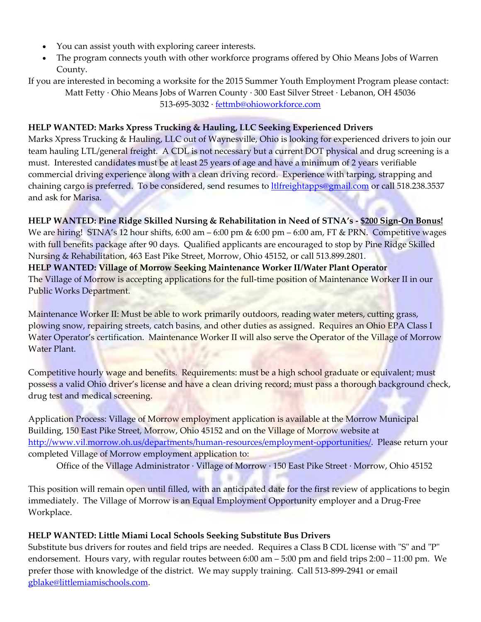- You can assist youth with exploring career interests.
- The program connects youth with other workforce programs offered by Ohio Means Jobs of Warren County.
- If you are interested in becoming a worksite for the 2015 Summer Youth Employment Program please contact: Matt Fetty ∙ Ohio Means Jobs of Warren County ∙ 300 East Silver Street ∙ Lebanon, OH 45036 513-695-3032 ∙ [fettmb@ohioworkforce.com](mailto:fettmb@ohioworkforce.com)

#### **HELP WANTED: Marks Xpress Trucking & Hauling, LLC Seeking Experienced Drivers**

Marks Xpress Trucking & Hauling, LLC out of Waynesville, Ohio is looking for experienced drivers to join our team hauling LTL/general freight. A CDL is not necessary but a current DOT physical and drug screening is a must. Interested candidates must be at least 25 years of age and have a minimum of 2 years verifiable commercial driving experience along with a clean driving record. Experience with tarping, strapping and chaining cargo is preferred. To be considered, send resumes to [ltlfreightapps@gmail.com](mailto:ltlfreightapps@gmail.com) or call 518.238.3537 and ask for Marisa.

**HELP WANTED: Pine Ridge Skilled Nursing & Rehabilitation in Need of STNA's - \$200 Sign-On Bonus!** We are hiring! STNA's 12 hour shifts, 6:00 am – 6:00 pm & 6:00 pm – 6:00 am, FT & PRN. Competitive wages with full benefits package after 90 days. Qualified applicants are encouraged to stop by Pine Ridge Skilled Nursing & Rehabilitation, 463 East Pike Street, Morrow, Ohio 45152, or call 513.899.2801. **HELP WANTED: Village of Morrow Seeking Maintenance Worker II/Water Plant Operator** The Village of Morrow is accepting applications for the full-time position of Maintenance Worker II in our Public Works Department.

Maintenance Worker II: Must be able to work primarily outdoors, reading water meters, cutting grass, plowing snow, repairing streets, catch basins, and other duties as assigned. Requires an Ohio EPA Class I Water Operator's certification. Maintenance Worker II will also serve the Operator of the Village of Morrow Water Plant.

Competitive hourly wage and benefits. Requirements: must be a high school graduate or equivalent; must possess a valid Ohio driver's license and have a clean driving record; must pass a thorough background check, drug test and medical screening.

Application Process: Village of Morrow employment application is available at the Morrow Municipal Building, 150 East Pike Street, Morrow, Ohio 45152 and on the Village of Morrow website at [http://www.vil.morrow.oh.us/departments/human-resources/employment-opportunities/.](http://www.vil.morrow.oh.us/departments/human-resources/employment-opportunities/) Please return your completed Village of Morrow employment application to:

Office of the Village Administrator ∙ Village of Morrow ∙ 150 East Pike Street ∙ Morrow, Ohio 45152

This position will remain open until filled, with an anticipated date for the first review of applications to begin immediately. The Village of Morrow is an Equal Employment Opportunity employer and a Drug-Free Workplace.

## **HELP WANTED: Little Miami Local Schools Seeking Substitute Bus Drivers**

Substitute bus drivers for routes and field trips are needed. Requires a Class B CDL license with "S" and "P" endorsement. Hours vary, with regular routes between 6:00 am – 5:00 pm and field trips 2:00 – 11:00 pm. We prefer those with knowledge of the district. We may supply training. Call 513-899-2941 or email [gblake@littlemiamischools.com.](mailto:gblake@littlemiamischools.com)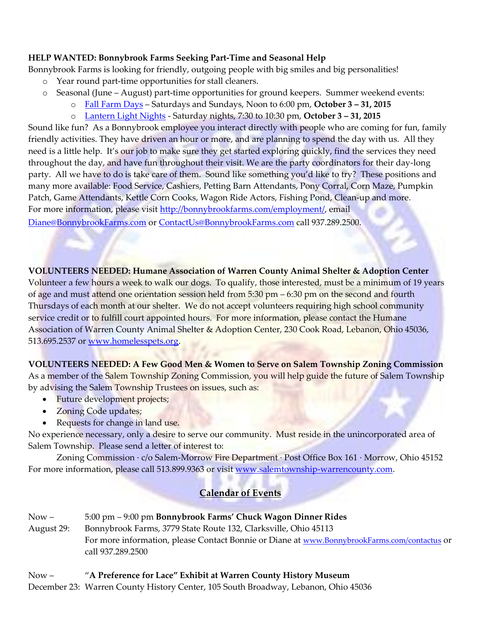## **HELP WANTED: Bonnybrook Farms Seeking Part-Time and Seasonal Help**

Bonnybrook Farms is looking for friendly, outgoing people with big smiles and big personalities!

- o Year round part-time opportunities for stall cleaners.
- o Seasonal (June August) part-time opportunities for ground keepers. Summer weekend events:
	- o [Fall Farm Days](http://bonnybrookfarms.com/?page_id=56) Saturdays and Sundays, Noon to 6:00 pm, **October 3 – 31, 2015**
	- o [Lantern Light Nights](http://bonnybrookfarms.com/?page_id=71) Saturday nights, 7:30 to 10:30 pm, **October 3 – 31, 2015**

Sound like fun? As a Bonnybrook employee you interact directly with people who are coming for fun, family friendly activities. They have driven an hour or more, and are planning to spend the day with us. All they need is a little help. It's our job to make sure they get started exploring quickly, find the services they need throughout the day, and have fun throughout their visit. We are the party coordinators for their day-long party. All we have to do is take care of them. Sound like something you'd like to try? These positions and many more available: Food Service, Cashiers, Petting Barn Attendants, Pony Corral, Corn Maze, Pumpkin Patch, Game Attendants, Kettle Corn Cooks, Wagon Ride Actors, Fishing Pond, Clean-up and more. For more information, please visit [http://bonnybrookfarms.com/employment/,](http://bonnybrookfarms.com/employment/) email [Diane@BonnybrookFarms.com](mailto:Diane@BonnybrookFarms.com) or [ContactUs@BonnybrookFarms.com](http://bonnybrookfarms.com/?page_id=34) call 937.289.2500.

## **VOLUNTEERS NEEDED: Humane Association of Warren County Animal Shelter & Adoption Center**

Volunteer a few hours a week to walk our dogs. To qualify, those interested, must be a minimum of 19 years of age and must attend one orientation session held from 5:30 pm – 6:30 pm on the second and fourth Thursdays of each month at our shelter. We do not accept volunteers requiring high school community service credit or to fulfill court appointed hours. For more information, please contact the Humane Association of Warren County Animal Shelter & Adoption Center, 230 Cook Road, Lebanon, Ohio 45036, 513.695.2537 or [www.homelesspets.org.](http://www.homelesspets.org/)

**VOLUNTEERS NEEDED: A Few Good Men & Women to Serve on Salem Township Zoning Commission** As a member of the Salem Township Zoning Commission, you will help guide the future of Salem Township by advising the Salem Township Trustees on issues, such as:

- Future development projects;
- Zoning Code updates;
- Requests for change in land use.

No experience necessary, only a desire to serve our community. Must reside in the unincorporated area of Salem Township. Please send a letter of interest to:

Zoning Commission ∙ c/o Salem-Morrow Fire Department ∙ Post Office Box 161 ∙ Morrow, Ohio 45152 For more information, please call 513.899.9363 or visit [www.salemtownship-warrencounty.com.](http://www.salemtownship-warrencounty.com/)

# **Calendar of Events**

Now – 5:00 pm – 9:00 pm **Bonnybrook Farms' Chuck Wagon Dinner Rides** August 29: Bonnybrook Farms, 3779 State Route 132, Clarksville, Ohio 45113 For more information, please Contact Bonnie or Diane at [www.BonnybrookFarms.com/contactus](http://www.bonnybrookfarms.com/contactus) or call 937.289.2500

## Now – "**A Preference for Lace" Exhibit at Warren County History Museum**

December 23: Warren County History Center, 105 South Broadway, Lebanon, Ohio 45036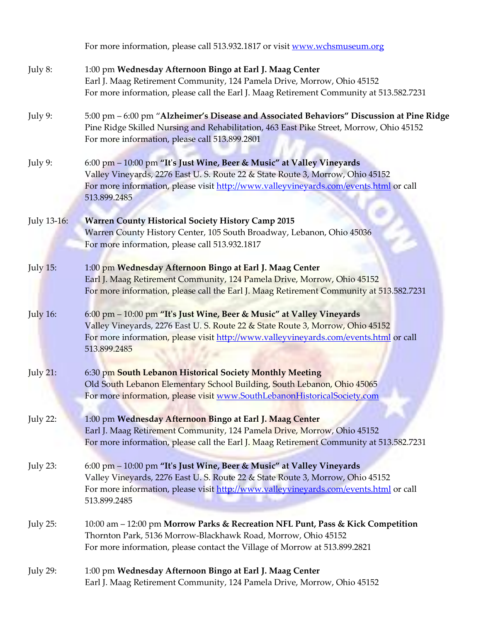|                 | For more information, please call 513.932.1817 or visit www.wchsmuseum.org                                                                                                                                                                                       |
|-----------------|------------------------------------------------------------------------------------------------------------------------------------------------------------------------------------------------------------------------------------------------------------------|
| July 8:         | 1:00 pm Wednesday Afternoon Bingo at Earl J. Maag Center<br>Earl J. Maag Retirement Community, 124 Pamela Drive, Morrow, Ohio 45152<br>For more information, please call the Earl J. Maag Retirement Community at 513.582.7231                                   |
| July 9:         | 5:00 pm - 6:00 pm "Alzheimer's Disease and Associated Behaviors" Discussion at Pine Ridge<br>Pine Ridge Skilled Nursing and Rehabilitation, 463 East Pike Street, Morrow, Ohio 45152<br>For more information, please call 513.899.2801                           |
| July 9:         | 6:00 pm - 10:00 pm "It's Just Wine, Beer & Music" at Valley Vineyards<br>Valley Vineyards, 2276 East U. S. Route 22 & State Route 3, Morrow, Ohio 45152<br>For more information, please visit http://www.valleyvineyards.com/events.html or call<br>513.899.2485 |
| July 13-16:     | <b>Warren County Historical Society History Camp 2015</b><br>Warren County History Center, 105 South Broadway, Lebanon, Ohio 45036<br>For more information, please call 513.932.1817                                                                             |
| <b>July 15:</b> | 1:00 pm Wednesday Afternoon Bingo at Earl J. Maag Center<br>Earl J. Maag Retirement Community, 124 Pamela Drive, Morrow, Ohio 45152<br>For more information, please call the Earl J. Maag Retirement Community at 513.582.7231                                   |
| <b>July 16:</b> | 6:00 pm - 10:00 pm "It's Just Wine, Beer & Music" at Valley Vineyards<br>Valley Vineyards, 2276 East U. S. Route 22 & State Route 3, Morrow, Ohio 45152<br>For more information, please visit http://www.valleyvineyards.com/events.html or call<br>513.899.2485 |
| <b>July 21:</b> | 6:30 pm South Lebanon Historical Society Monthly Meeting<br>Old South Lebanon Elementary School Building, South Lebanon, Ohio 45065<br>For more information, please visit www.SouthLebanonHistoricalSociety.com                                                  |
| <b>July 22:</b> | 1:00 pm Wednesday Afternoon Bingo at Earl J. Maag Center<br>Earl J. Maag Retirement Community, 124 Pamela Drive, Morrow, Ohio 45152<br>For more information, please call the Earl J. Maag Retirement Community at 513.582.7231                                   |
| July 23:        | 6:00 pm - 10:00 pm "It's Just Wine, Beer & Music" at Valley Vineyards<br>Valley Vineyards, 2276 East U. S. Route 22 & State Route 3, Morrow, Ohio 45152<br>For more information, please visit http://www.valleyvineyards.com/events.html or call<br>513.899.2485 |
| <b>July 25:</b> | 10:00 am – 12:00 pm Morrow Parks & Recreation NFL Punt, Pass & Kick Competition<br>Thornton Park, 5136 Morrow-Blackhawk Road, Morrow, Ohio 45152<br>For more information, please contact the Village of Morrow at 513.899.2821                                   |
| <b>July 29:</b> | 1:00 pm Wednesday Afternoon Bingo at Earl J. Maag Center<br>Earl J. Maag Retirement Community, 124 Pamela Drive, Morrow, Ohio 45152                                                                                                                              |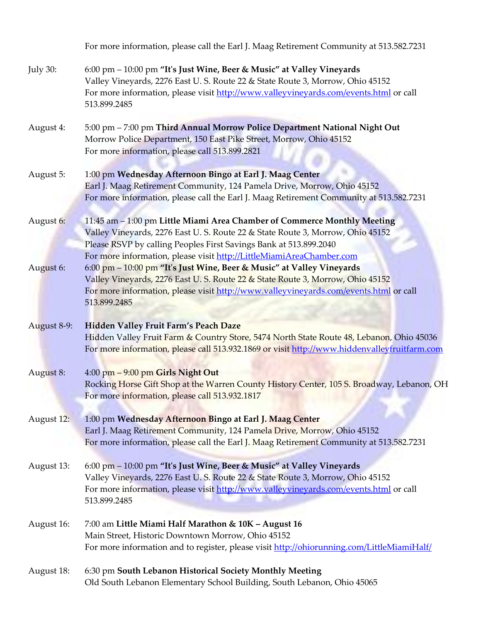|             | For more information, please call the Earl J. Maag Retirement Community at 513.582.7231                                                                                                                                                                                                                                                 |
|-------------|-----------------------------------------------------------------------------------------------------------------------------------------------------------------------------------------------------------------------------------------------------------------------------------------------------------------------------------------|
| July 30:    | 6:00 pm - 10:00 pm "It's Just Wine, Beer & Music" at Valley Vineyards<br>Valley Vineyards, 2276 East U. S. Route 22 & State Route 3, Morrow, Ohio 45152<br>For more information, please visit http://www.valleyvineyards.com/events.html or call<br>513.899.2485                                                                        |
| August 4:   | 5:00 pm - 7:00 pm Third Annual Morrow Police Department National Night Out<br>Morrow Police Department, 150 East Pike Street, Morrow, Ohio 45152<br>For more information, please call 513.899.2821                                                                                                                                      |
| August 5:   | 1:00 pm Wednesday Afternoon Bingo at Earl J. Maag Center<br>Earl J. Maag Retirement Community, 124 Pamela Drive, Morrow, Ohio 45152<br>For more information, please call the Earl J. Maag Retirement Community at 513.582.7231                                                                                                          |
| August 6:   | 11:45 am - 1:00 pm Little Miami Area Chamber of Commerce Monthly Meeting<br>Valley Vineyards, 2276 East U. S. Route 22 & State Route 3, Morrow, Ohio 45152<br>Please RSVP by calling Peoples First Savings Bank at 513.899.2040                                                                                                         |
| August 6:   | For more information, please visit http://LittleMiamiAreaChamber.com<br>6:00 pm - 10:00 pm "It's Just Wine, Beer & Music" at Valley Vineyards<br>Valley Vineyards, 2276 East U.S. Route 22 & State Route 3, Morrow, Ohio 45152<br>For more information, please visit http://www.valleyvineyards.com/events.html or call<br>513.899.2485 |
| August 8-9: | Hidden Valley Fruit Farm's Peach Daze<br>Hidden Valley Fruit Farm & Country Store, 5474 North State Route 48, Lebanon, Ohio 45036<br>For more information, please call 513.932.1869 or visit http://www.hiddenvalleyfruitfarm.com                                                                                                       |
| August 8:   | 4:00 pm - 9:00 pm Girls Night Out<br>Rocking Horse Gift Shop at the Warren County History Center, 105 S. Broadway, Lebanon, OH<br>For more information, please call 513.932.1817                                                                                                                                                        |
| August 12:  | 1:00 pm Wednesday Afternoon Bingo at Earl J. Maag Center<br>Earl J. Maag Retirement Community, 124 Pamela Drive, Morrow, Ohio 45152<br>For more information, please call the Earl J. Maag Retirement Community at 513.582.7231                                                                                                          |
| August 13:  | 6:00 pm – 10:00 pm "It's Just Wine, Beer & Music" at Valley Vineyards<br>Valley Vineyards, 2276 East U.S. Route 22 & State Route 3, Morrow, Ohio 45152<br>For more information, please visit http://www.valleyvineyards.com/events.html or call<br>513.899.2485                                                                         |
| August 16:  | 7:00 am Little Miami Half Marathon & 10K - August 16<br>Main Street, Historic Downtown Morrow, Ohio 45152<br>For more information and to register, please visit http://ohiorunning.com/LittleMiamiHalf/                                                                                                                                 |
| August 18:  | 6:30 pm South Lebanon Historical Society Monthly Meeting<br>Old South Lebanon Elementary School Building, South Lebanon, Ohio 45065                                                                                                                                                                                                     |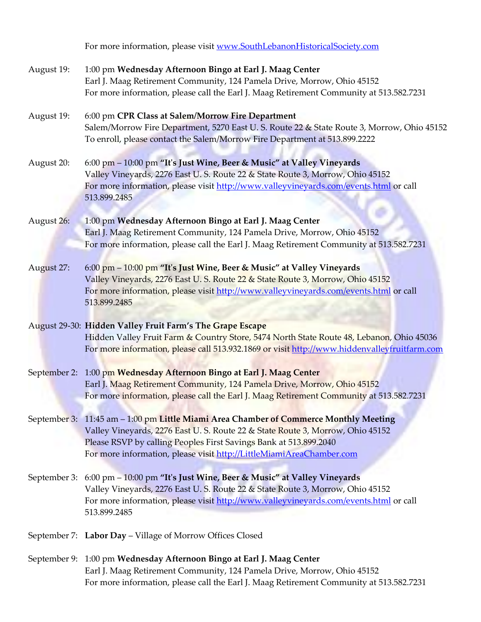For more information, please visit [www.SouthLebanonHistoricalSociety.com](http://www.southlebanonhistoricalsociety.com/)

| August 19: | 1:00 pm Wednesday Afternoon Bingo at Earl J. Maag Center<br>Earl J. Maag Retirement Community, 124 Pamela Drive, Morrow, Ohio 45152<br>For more information, please call the Earl J. Maag Retirement Community at 513.582.7231                                                                                      |
|------------|---------------------------------------------------------------------------------------------------------------------------------------------------------------------------------------------------------------------------------------------------------------------------------------------------------------------|
| August 19: | 6:00 pm CPR Class at Salem/Morrow Fire Department<br>Salem/Morrow Fire Department, 5270 East U. S. Route 22 & State Route 3, Morrow, Ohio 45152<br>To enroll, please contact the Salem/Morrow Fire Department at 513.899.2222                                                                                       |
| August 20: | 6:00 pm - 10:00 pm "It's Just Wine, Beer & Music" at Valley Vineyards<br>Valley Vineyards, 2276 East U. S. Route 22 & State Route 3, Morrow, Ohio 45152<br>For more information, please visit http://www.valleyvineyards.com/events.html or call<br>513.899.2485                                                    |
| August 26: | 1:00 pm Wednesday Afternoon Bingo at Earl J. Maag Center<br>Earl J. Maag Retirement Community, 124 Pamela Drive, Morrow, Ohio 45152<br>For more information, please call the Earl J. Maag Retirement Community at 513.582.7231                                                                                      |
| August 27: | 6:00 pm - 10:00 pm "It's Just Wine, Beer & Music" at Valley Vineyards<br>Valley Vineyards, 2276 East U.S. Route 22 & State Route 3, Morrow, Ohio 45152<br>For more information, please visit http://www.valleyvineyards.com/events.html or call<br>513.899.2485                                                     |
|            | August 29-30: Hidden Valley Fruit Farm's The Grape Escape<br>Hidden Valley Fruit Farm & Country Store, 5474 North State Route 48, Lebanon, Ohio 45036<br>For more information, please call 513.932.1869 or visit http://www.hiddenvalleyfruitfarm.com                                                               |
|            | September 2: 1:00 pm Wednesday Afternoon Bingo at Earl J. Maag Center<br>Earl J. Maag Retirement Community, 124 Pamela Drive, Morrow, Ohio 45152<br>For more information, please call the Earl J. Maag Retirement Community at 513.582.7231                                                                         |
|            | September 3: 11:45 am - 1:00 pm Little Miami Area Chamber of Commerce Monthly Meeting<br>Valley Vineyards, 2276 East U.S. Route 22 & State Route 3, Morrow, Ohio 45152<br>Please RSVP by calling Peoples First Savings Bank at 513.899.2040<br>For more information, please visit http://LittleMiamiAreaChamber.com |
|            | September 3: 6:00 pm - 10:00 pm "It's Just Wine, Beer & Music" at Valley Vineyards<br>Valley Vineyards, 2276 East U. S. Route 22 & State Route 3, Morrow, Ohio 45152<br>For more information, please visit http://www.valleyvineyards.com/events.html or call<br>513.899.2485                                       |
|            | September 7: Labor Day - Village of Morrow Offices Closed                                                                                                                                                                                                                                                           |
|            | September 9: 1:00 pm Wednesday Afternoon Bingo at Earl J. Maag Center                                                                                                                                                                                                                                               |

Earl J. Maag Retirement Community, 124 Pamela Drive, Morrow, Ohio 45152 For more information, please call the Earl J. Maag Retirement Community at 513.582.7231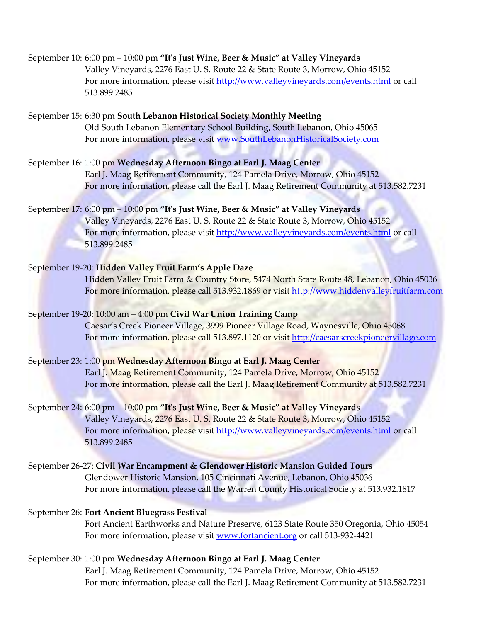## September 10: 6:00 pm – 10:00 pm **"It's Just Wine, Beer & Music" at Valley Vineyards** Valley Vineyards, 2276 East U. S. Route 22 & State Route 3, Morrow, Ohio 45152 For more information, please visi[t http://www.valleyvineyards.com/events.html](http://www.valleyvineyards.com/events.html) or call 513.899.2485

September 15: 6:30 pm **South Lebanon Historical Society Monthly Meeting** Old South Lebanon Elementary School Building, South Lebanon, Ohio 45065 For more information, please visit [www.SouthLebanonHistoricalSociety.com](http://www.southlebanonhistoricalsociety.com/)

September 16: 1:00 pm **Wednesday Afternoon Bingo at Earl J. Maag Center** Earl J. Maag Retirement Community, 124 Pamela Drive, Morrow, Ohio 45152 For more information, please call the Earl J. Maag Retirement Community at 513.582.7231

# September 17: 6:00 pm – 10:00 pm **"It's Just Wine, Beer & Music" at Valley Vineyards** Valley Vineyards, 2276 East U. S. Route 22 & State Route 3, Morrow, Ohio 45152 For more information, please visit<http://www.valleyvineyards.com/events.html> or call 513.899.2485

# September 19-20: **Hidden Valley Fruit Farm's Apple Daze**

Hidden Valley Fruit Farm & Country Store, 5474 North State Route 48, Lebanon, Ohio 45036 For more information, please call 513.932.1869 or visit [http://www.hiddenvalleyfruitfarm.com](http://www.hiddenvalleyfruitfarm.com/festivals.html)

## September 19-20: 10:00 am – 4:00 pm **Civil War Union Training Camp**

Caesar's Creek Pioneer Village, 3999 Pioneer Village Road, Waynesville, Ohio 45068 For more information, please call 513.897.1120 or visit [http://caesarscreekpioneervillage.com](http://caesarscreekpioneervillage.com/)

## September 23: 1:00 pm **Wednesday Afternoon Bingo at Earl J. Maag Center**

Earl J. Maag Retirement Community, 124 Pamela Drive, Morrow, Ohio 45152 For more information, please call the Earl J. Maag Retirement Community at 513.582.7231

# September 24: 6:00 pm – 10:00 pm **"It's Just Wine, Beer & Music" at Valley Vineyards** Valley Vineyards, 2276 East U. S. Route 22 & State Route 3, Morrow, Ohio 45152 For more information, please visi[t http://www.valleyvineyards.com/events.html](http://www.valleyvineyards.com/events.html) or call 513.899.2485

September 26-27: **Civil War Encampment & Glendower Historic Mansion Guided Tours** Glendower Historic Mansion, 105 Cincinnati Avenue, Lebanon, Ohio 45036 For more information, please call the Warren County Historical Society at 513.932.1817

## September 26: **Fort Ancient Bluegrass Festival**

Fort Ancient Earthworks and Nature Preserve, 6123 State Route 350 Oregonia, Ohio 45054 For more information, please visit [www.fortancient.org](http://www.fortancient.org/) or call 513-932-4421

#### September 30: 1:00 pm **Wednesday Afternoon Bingo at Earl J. Maag Center**

Earl J. Maag Retirement Community, 124 Pamela Drive, Morrow, Ohio 45152 For more information, please call the Earl J. Maag Retirement Community at 513.582.7231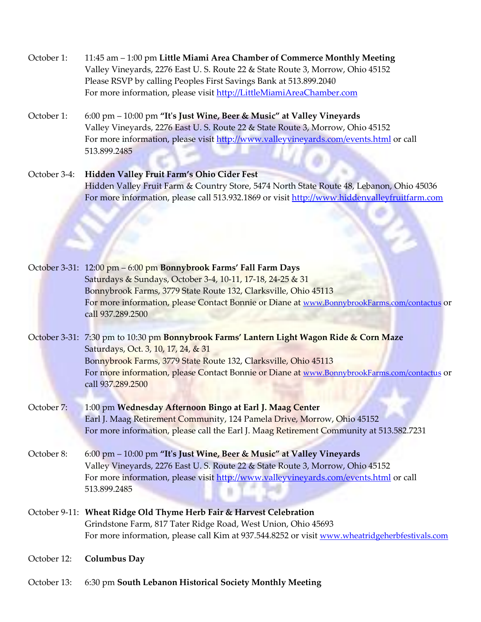| October 1: | 11:45 am – 1:00 pm Little Miami Area Chamber of Commerce Monthly Meeting       |
|------------|--------------------------------------------------------------------------------|
|            | Valley Vineyards, 2276 East U. S. Route 22 & State Route 3, Morrow, Ohio 45152 |
|            | Please RSVP by calling Peoples First Savings Bank at 513.899.2040              |
|            | For more information, please visit http://LittleMiamiAreaChamber.com           |

October 1: 6:00 pm – 10:00 pm **"It's Just Wine, Beer & Music" at Valley Vineyards** Valley Vineyards, 2276 East U. S. Route 22 & State Route 3, Morrow, Ohio 45152 For more information, please visit<http://www.valleyvineyards.com/events.html> or call 513.899.2485

October 3-4: **Hidden Valley Fruit Farm's Ohio Cider Fest** Hidden Valley Fruit Farm & Country Store, 5474 North State Route 48, Lebanon, Ohio 45036 For more information, please call 513.932.1869 or visit [http://www.hiddenvalleyfruitfarm.com](http://www.hiddenvalleyfruitfarm.com/festivals.html)

| October 3-31: 12:00 pm - 6:00 pm Bonnybrook Farms' Fall Farm Days                            |
|----------------------------------------------------------------------------------------------|
| Saturdays & Sundays, October 3-4, 10-11, 17-18, 24-25 & 31                                   |
| Bonnybrook Farms, 3779 State Route 132, Clarksville, Ohio 45113                              |
| For more information, please Contact Bonnie or Diane at www.BonnybrookFarms.com/contactus or |
| call 937.289.2500                                                                            |

October 3-31: 7:30 pm to 10:30 pm **Bonnybrook Farms' Lantern Light Wagon Ride & Corn Maze** Saturdays, Oct. 3, 10, 17, 24, & 31 Bonnybrook Farms, 3779 State Route 132, Clarksville, Ohio 45113 For more information, please Contact Bonnie or Diane at [www.BonnybrookFarms.com/contactus](http://www.bonnybrookfarms.com/contactus) or call 937.289.2500

- October 7: 1:00 pm **Wednesday Afternoon Bingo at Earl J. Maag Center** Earl J. Maag Retirement Community, 124 Pamela Drive, Morrow, Ohio 45152 For more information, please call the Earl J. Maag Retirement Community at 513.582.7231
- October 8: 6:00 pm 10:00 pm **"It's Just Wine, Beer & Music" at Valley Vineyards** Valley Vineyards, 2276 East U. S. Route 22 & State Route 3, Morrow, Ohio 45152 For more information, please visit<http://www.valleyvineyards.com/events.html> or call 513.899.2485
- October 9-11: **Wheat Ridge Old Thyme Herb Fair & Harvest Celebration** Grindstone Farm, 817 Tater Ridge Road, West Union, Ohio 45693 For more information, please call Kim at 937.544.8252 or visit [www.wheatridgeherbfestivals.com](http://www.wheatridgeherbfestivals.com/)
- October 12: **Columbus Day**
- October 13: 6:30 pm **South Lebanon Historical Society Monthly Meeting**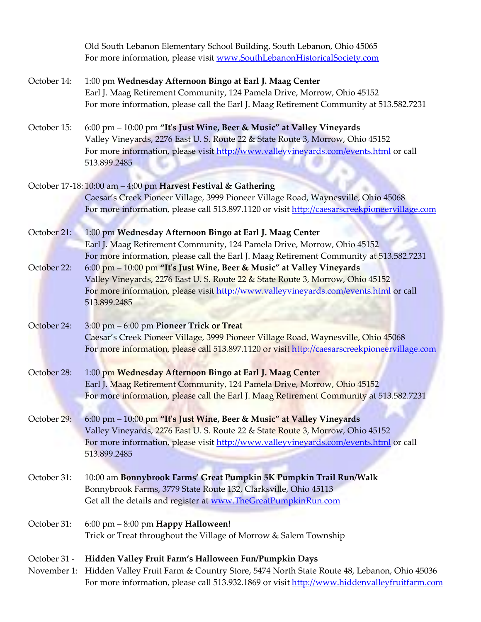Old South Lebanon Elementary School Building, South Lebanon, Ohio 45065 For more information, please visit [www.SouthLebanonHistoricalSociety.com](http://www.southlebanonhistoricalsociety.com/)

## October 14: 1:00 pm **Wednesday Afternoon Bingo at Earl J. Maag Center** Earl J. Maag Retirement Community, 124 Pamela Drive, Morrow, Ohio 45152 For more information, please call the Earl J. Maag Retirement Community at 513.582.7231

October 15: 6:00 pm – 10:00 pm **"It's Just Wine, Beer & Music" at Valley Vineyards** Valley Vineyards, 2276 East U. S. Route 22 & State Route 3, Morrow, Ohio 45152 For more information, please visit<http://www.valleyvineyards.com/events.html> or call 513.899.2485

# October 17-18: 10:00 am – 4:00 pm **Harvest Festival & Gathering** Caesar's Creek Pioneer Village, 3999 Pioneer Village Road, Waynesville, Ohio 45068 For more information, please call 513.897.1120 or visit [http://caesarscreekpioneervillage.com](http://caesarscreekpioneervillage.com/)

October 21: 1:00 pm **Wednesday Afternoon Bingo at Earl J. Maag Center** Earl J. Maag Retirement Community, 124 Pamela Drive, Morrow, Ohio 45152 For more information, please call the Earl J. Maag Retirement Community at 513.582.7231

October 22: 6:00 pm – 10:00 pm **"It's Just Wine, Beer & Music" at Valley Vineyards** Valley Vineyards, 2276 East U. S. Route 22 & State Route 3, Morrow, Ohio 45152 For more information, please visit<http://www.valleyvineyards.com/events.html> or call 513.899.2485

# October 24: 3:00 pm – 6:00 pm **Pioneer Trick or Treat** Caesar's Creek Pioneer Village, 3999 Pioneer Village Road, Waynesville, Ohio 45068 For more information, please call 513.897.1120 or visi[t http://caesarscreekpioneervillage.com](http://caesarscreekpioneervillage.com/)

October 28: 1:00 pm **Wednesday Afternoon Bingo at Earl J. Maag Center** Earl J. Maag Retirement Community, 124 Pamela Drive, Morrow, Ohio 45152 For more information, please call the Earl J. Maag Retirement Community at 513.582.7231

# October 29: 6:00 pm – 10:00 pm **"It's Just Wine, Beer & Music" at Valley Vineyards** Valley Vineyards, 2276 East U. S. Route 22 & State Route 3, Morrow, Ohio 45152 For more information, please visit<http://www.valleyvineyards.com/events.html> or call 513.899.2485

October 31: 10:00 am **Bonnybrook Farms' Great Pumpkin 5K Pumpkin Trail Run/Walk** Bonnybrook Farms, 3779 State Route 132, Clarksville, Ohio 45113 Get all the details and register at [www.TheGreatPumpkinRun.com](http://www.thegreatpumpkinrun.com/)

# October 31: 6:00 pm – 8:00 pm **Happy Halloween!** Trick or Treat throughout the Village of Morrow & Salem Township

# October 31 - **Hidden Valley Fruit Farm's Halloween Fun/Pumpkin Days**

November 1: Hidden Valley Fruit Farm & Country Store, 5474 North State Route 48, Lebanon, Ohio 45036 For more information, please call 513.932.1869 or visi[t http://www.hiddenvalleyfruitfarm.com](http://www.hiddenvalleyfruitfarm.com/festivals.html)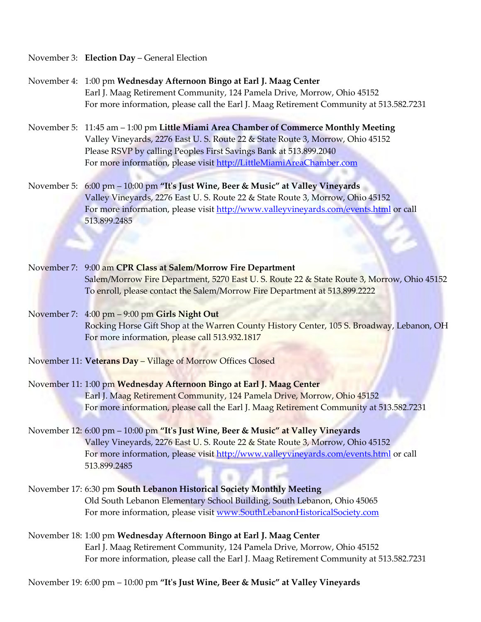#### November 3: **Election Day** – General Election

- November 4: 1:00 pm **Wednesday Afternoon Bingo at Earl J. Maag Center** Earl J. Maag Retirement Community, 124 Pamela Drive, Morrow, Ohio 45152 For more information, please call the Earl J. Maag Retirement Community at 513.582.7231
- November 5: 11:45 am 1:00 pm **Little Miami Area Chamber of Commerce Monthly Meeting** Valley Vineyards, 2276 East U. S. Route 22 & State Route 3, Morrow, Ohio 45152 Please RSVP by calling Peoples First Savings Bank at 513.899.2040 For more information, please visit [http://LittleMiamiAreaChamber.com](http://littlemiamiareachamber.com/)
- November 5: 6:00 pm 10:00 pm **"It's Just Wine, Beer & Music" at Valley Vineyards** Valley Vineyards, 2276 East U. S. Route 22 & State Route 3, Morrow, Ohio 45152 For more information, please visit<http://www.valleyvineyards.com/events.html> or call 513.899.2485
- November 7: 9:00 am **CPR Class at Salem/Morrow Fire Department** Salem/Morrow Fire Department, 5270 East U. S. Route 22 & State Route 3, Morrow, Ohio 45152 To enroll, please contact the Salem/Morrow Fire Department at 513.899.2222
- November 7: 4:00 pm 9:00 pm **Girls Night Out** Rocking Horse Gift Shop at the Warren County History Center, 105 S. Broadway, Lebanon, OH For more information, please call 513.932.1817
- November 11: **Veterans Day** Village of Morrow Offices Closed
- November 11: 1:00 pm **Wednesday Afternoon Bingo at Earl J. Maag Center** Earl J. Maag Retirement Community, 124 Pamela Drive, Morrow, Ohio 45152 For more information, please call the Earl J. Maag Retirement Community at 513.582.7231
- November 12: 6:00 pm 10:00 pm **"It's Just Wine, Beer & Music" at Valley Vineyards** Valley Vineyards, 2276 East U. S. Route 22 & State Route 3, Morrow, Ohio 45152 For more information, please visit<http://www.valleyvineyards.com/events.html> or call 513.899.2485
- November 17: 6:30 pm **South Lebanon Historical Society Monthly Meeting** Old South Lebanon Elementary School Building, South Lebanon, Ohio 45065 For more information, please visit [www.SouthLebanonHistoricalSociety.com](http://www.southlebanonhistoricalsociety.com/)
- November 18: 1:00 pm **Wednesday Afternoon Bingo at Earl J. Maag Center** Earl J. Maag Retirement Community, 124 Pamela Drive, Morrow, Ohio 45152 For more information, please call the Earl J. Maag Retirement Community at 513.582.7231

November 19: 6:00 pm – 10:00 pm **"It's Just Wine, Beer & Music" at Valley Vineyards**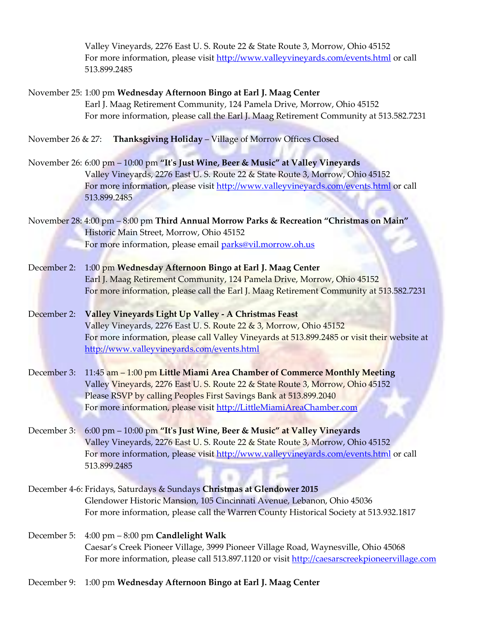Valley Vineyards, 2276 East U. S. Route 22 & State Route 3, Morrow, Ohio 45152 For more information, please visit<http://www.valleyvineyards.com/events.html> or call 513.899.2485

# November 25: 1:00 pm **Wednesday Afternoon Bingo at Earl J. Maag Center** Earl J. Maag Retirement Community, 124 Pamela Drive, Morrow, Ohio 45152 For more information, please call the Earl J. Maag Retirement Community at 513.582.7231

November 26 & 27: **Thanksgiving Holiday** – Village of Morrow Offices Closed

- November 26: 6:00 pm 10:00 pm **"It's Just Wine, Beer & Music" at Valley Vineyards** Valley Vineyards, 2276 East U. S. Route 22 & State Route 3, Morrow, Ohio 45152 For more information, please visit<http://www.valleyvineyards.com/events.html> or call 513.899.2485
- November 28: 4:00 pm 8:00 pm **Third Annual Morrow Parks & Recreation "Christmas on Main"** Historic Main Street, Morrow, Ohio 45152 For more information, please email [parks@vil.morrow.oh.us](mailto:parks@vil.morrow.oh.us)
- December 2: 1:00 pm **Wednesday Afternoon Bingo at Earl J. Maag Center** Earl J. Maag Retirement Community, 124 Pamela Drive, Morrow, Ohio 45152 For more information, please call the Earl J. Maag Retirement Community at 513.582.7231

December 2: **Valley Vineyards Light Up Valley - A Christmas Feast** Valley Vineyards, 2276 East U. S. Route 22 & 3, Morrow, Ohio 45152 For more information, please call Valley Vineyards at 513.899.2485 or visit their website at <http://www.valleyvineyards.com/events.html>

- December 3: 11:45 am 1:00 pm **Little Miami Area Chamber of Commerce Monthly Meeting** Valley Vineyards, 2276 East U. S. Route 22 & State Route 3, Morrow, Ohio 45152 Please RSVP by calling Peoples First Savings Bank at 513.899.2040 For more information, please visit [http://LittleMiamiAreaChamber.com](http://littlemiamiareachamber.com/)
- December 3: 6:00 pm 10:00 pm **"It's Just Wine, Beer & Music" at Valley Vineyards** Valley Vineyards, 2276 East U. S. Route 22 & State Route 3, Morrow, Ohio 45152 For more information, please visit<http://www.valleyvineyards.com/events.html> or call 513.899.2485
- December 4-6: Fridays, Saturdays & Sundays **Christmas at Glendower 2015** Glendower Historic Mansion, 105 Cincinnati Avenue, Lebanon, Ohio 45036 For more information, please call the Warren County Historical Society at 513.932.1817
- December 5: 4:00 pm 8:00 pm **Candlelight Walk** Caesar's Creek Pioneer Village, 3999 Pioneer Village Road, Waynesville, Ohio 45068 For more information, please call 513.897.1120 or visit [http://caesarscreekpioneervillage.com](http://caesarscreekpioneervillage.com/)
- December 9: 1:00 pm **Wednesday Afternoon Bingo at Earl J. Maag Center**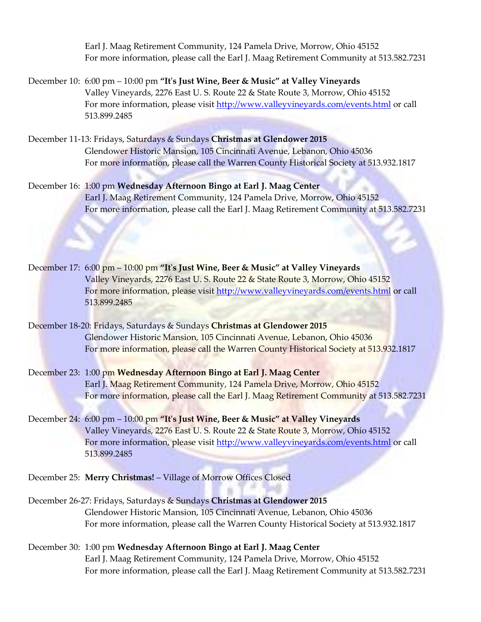Earl J. Maag Retirement Community, 124 Pamela Drive, Morrow, Ohio 45152 For more information, please call the Earl J. Maag Retirement Community at 513.582.7231

- December 10: 6:00 pm 10:00 pm **"It's Just Wine, Beer & Music" at Valley Vineyards** Valley Vineyards, 2276 East U. S. Route 22 & State Route 3, Morrow, Ohio 45152 For more information, please visit<http://www.valleyvineyards.com/events.html> or call 513.899.2485
- December 11-13: Fridays, Saturdays & Sundays **Christmas at Glendower 2015** Glendower Historic Mansion, 105 Cincinnati Avenue, Lebanon, Ohio 45036 For more information, please call the Warren County Historical Society at 513.932.1817
- December 16: 1:00 pm **Wednesday Afternoon Bingo at Earl J. Maag Center** Earl J. Maag Retirement Community, 124 Pamela Drive, Morrow, Ohio 45152 For more information, please call the Earl J. Maag Retirement Community at 513.582.7231
- December 17: 6:00 pm 10:00 pm **"It's Just Wine, Beer & Music" at Valley Vineyards** Valley Vineyards, 2276 East U. S. Route 22 & State Route 3, Morrow, Ohio 45152 For more information, please visit<http://www.valleyvineyards.com/events.html> or call 513.899.2485
- December 18-20: Fridays, Saturdays & Sundays **Christmas at Glendower 2015** Glendower Historic Mansion, 105 Cincinnati Avenue, Lebanon, Ohio 45036 For more information, please call the Warren County Historical Society at 513.932.1817
- December 23: 1:00 pm **Wednesday Afternoon Bingo at Earl J. Maag Center** Earl J. Maag Retirement Community, 124 Pamela Drive, Morrow, Ohio 45152 For more information, please call the Earl J. Maag Retirement Community at 513.582.7231
- December 24: 6:00 pm 10:00 pm **"It's Just Wine, Beer & Music" at Valley Vineyards** Valley Vineyards, 2276 East U. S. Route 22 & State Route 3, Morrow, Ohio 45152 For more information, please visit<http://www.valleyvineyards.com/events.html> or call 513.899.2485
- December 25: **Merry Christmas!** Village of Morrow Offices Closed
- December 26-27: Fridays, Saturdays & Sundays **Christmas at Glendower 2015** Glendower Historic Mansion, 105 Cincinnati Avenue, Lebanon, Ohio 45036 For more information, please call the Warren County Historical Society at 513.932.1817
- December 30: 1:00 pm **Wednesday Afternoon Bingo at Earl J. Maag Center** Earl J. Maag Retirement Community, 124 Pamela Drive, Morrow, Ohio 45152 For more information, please call the Earl J. Maag Retirement Community at 513.582.7231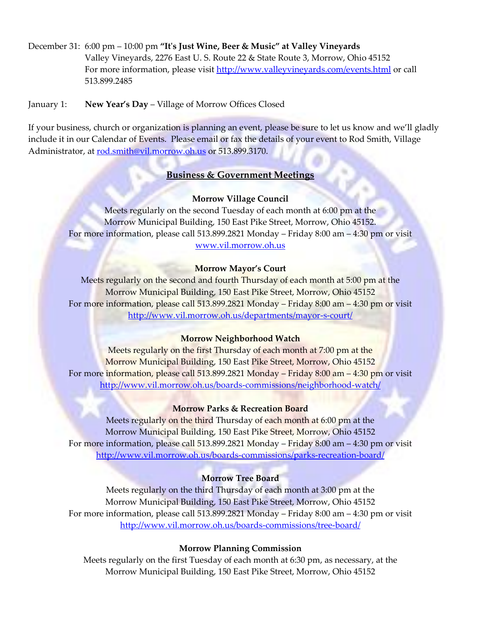December 31: 6:00 pm – 10:00 pm **"It's Just Wine, Beer & Music" at Valley Vineyards** Valley Vineyards, 2276 East U. S. Route 22 & State Route 3, Morrow, Ohio 45152 For more information, please visit<http://www.valleyvineyards.com/events.html> or call 513.899.2485

January 1: **New Year's Day** – Village of Morrow Offices Closed

If your business, church or organization is planning an event, please be sure to let us know and we'll gladly include it in our Calendar of Events. Please email or fax the details of your event to Rod Smith, Village Administrator, at [rod.smith@vil.morrow.oh.us](mailto:rod.smith@vil.morrow.oh.us) or 513.899.3170.

#### **Business & Government Meetings**

#### **Morrow Village Council**

Meets regularly on the second Tuesday of each month at 6:00 pm at the Morrow Municipal Building, 150 East Pike Street, Morrow, Ohio 45152. For more information, please call 513.899.2821 Monday – Friday 8:00 am – 4:30 pm or visit [www.vil.morrow.oh.us](http://www.vil.morrow.oh.us/)

#### **Morrow Mayor's Court**

Meets regularly on the second and fourth Thursday of each month at 5:00 pm at the Morrow Municipal Building, 150 East Pike Street, Morrow, Ohio 45152 For more information, please call 513.899.2821 Monday – Friday 8:00 am – 4:30 pm or visit <http://www.vil.morrow.oh.us/departments/mayor-s-court/>

#### **Morrow Neighborhood Watch**

Meets regularly on the first Thursday of each month at 7:00 pm at the Morrow Municipal Building, 150 East Pike Street, Morrow, Ohio 45152 For more information, please call 513.899.2821 Monday – Friday 8:00 am – 4:30 pm or visit <http://www.vil.morrow.oh.us/boards-commissions/neighborhood-watch/>

#### **Morrow Parks & Recreation Board**

Meets regularly on the third Thursday of each month at 6:00 pm at the Morrow Municipal Building, 150 East Pike Street, Morrow, Ohio 45152 For more information, please call 513.899.2821 Monday – Friday 8:00 am – 4:30 pm or visit <http://www.vil.morrow.oh.us/boards-commissions/parks-recreation-board/>

#### **Morrow Tree Board**

Meets regularly on the third Thursday of each month at 3:00 pm at the Morrow Municipal Building, 150 East Pike Street, Morrow, Ohio 45152 For more information, please call 513.899.2821 Monday – Friday 8:00 am – 4:30 pm or visit <http://www.vil.morrow.oh.us/boards-commissions/tree-board/>

#### **Morrow Planning Commission**

Meets regularly on the first Tuesday of each month at 6:30 pm, as necessary, at the Morrow Municipal Building, 150 East Pike Street, Morrow, Ohio 45152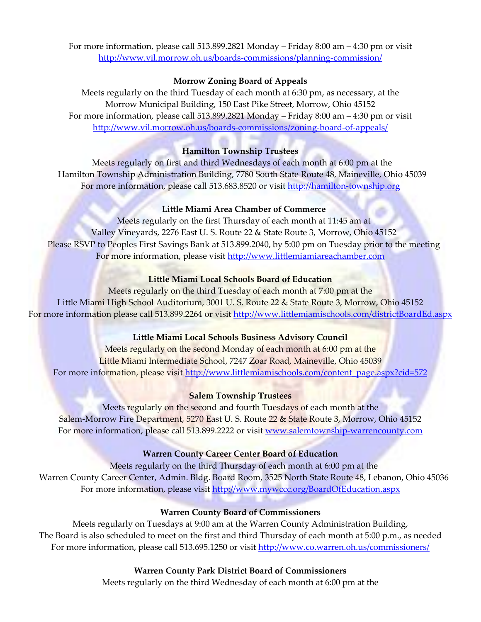For more information, please call 513.899.2821 Monday – Friday 8:00 am – 4:30 pm or visit <http://www.vil.morrow.oh.us/boards-commissions/planning-commission/>

#### **Morrow Zoning Board of Appeals**

Meets regularly on the third Tuesday of each month at 6:30 pm, as necessary, at the Morrow Municipal Building, 150 East Pike Street, Morrow, Ohio 45152 For more information, please call 513.899.2821 Monday – Friday 8:00 am – 4:30 pm or visit <http://www.vil.morrow.oh.us/boards-commissions/zoning-board-of-appeals/>

#### **Hamilton Township Trustees**

Meets regularly on first and third Wednesdays of each month at 6:00 pm at the Hamilton Township Administration Building, 7780 South State Route 48, Maineville, Ohio 45039 For more information, please call 513.683.8520 or visit [http://hamilton-township.org](http://hamilton-township.org/)

#### **Little Miami Area Chamber of Commerce**

Meets regularly on the first Thursday of each month at 11:45 am at Valley Vineyards, 2276 East U. S. Route 22 & State Route 3, Morrow, Ohio 45152 Please RSVP to Peoples First Savings Bank at 513.899.2040, by 5:00 pm on Tuesday prior to the meeting For more information, please visit [http://www.littlemiamiareachamber.com](http://www.littlemiamiareachamber.com/)

#### **Little Miami Local Schools Board of Education**

Meets regularly on the third Tuesday of each month at 7:00 pm at the Little Miami High School Auditorium, 3001 U. S. Route 22 & State Route 3, Morrow, Ohio 45152 For more information please call 513.899.2264 or visit<http://www.littlemiamischools.com/districtBoardEd.aspx>

## **Little Miami Local Schools Business Advisory Council**

Meets regularly on the second Monday of each month at 6:00 pm at the Little Miami Intermediate School, 7247 Zoar Road, Maineville, Ohio 45039 For more information, please visit [http://www.littlemiamischools.com/content\\_page.aspx?cid=572](http://www.littlemiamischools.com/content_page.aspx?cid=572)

#### **Salem Township Trustees**

Meets regularly on the second and fourth Tuesdays of each month at the Salem-Morrow Fire Department, 5270 East U. S. Route 22 & State Route 3, Morrow, Ohio 45152 For more information, please call 513.899.2222 or visit [www.salemtownship-warrencounty.com](http://www.salemtownship-warrencounty.com/)

#### **Warren County Career Center Board of Education**

Meets regularly on the third Thursday of each month at 6:00 pm at the Warren County Career Center, Admin. Bldg. Board Room, 3525 North State Route 48, Lebanon, Ohio 45036 For more information, please visit<http://www.mywccc.org/BoardOfEducation.aspx>

#### **Warren County Board of Commissioners**

Meets regularly on Tuesdays at 9:00 am at the Warren County Administration Building, The Board is also scheduled to meet on the first and third Thursday of each month at 5:00 p.m., as needed For more information, please call 513.695.1250 or visit<http://www.co.warren.oh.us/commissioners/>

#### **Warren County Park District Board of Commissioners**

Meets regularly on the third Wednesday of each month at 6:00 pm at the